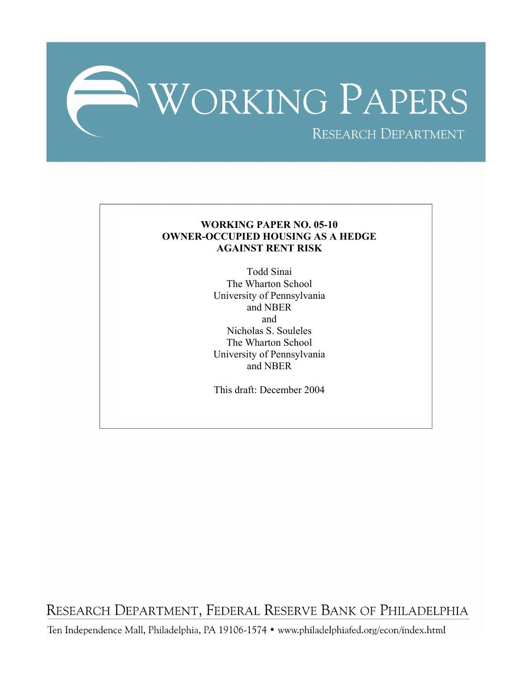

## **WORKING PAPER NO. 05-10 OWNER-OCCUPIED HOUSING AS A HEDGE AGAINST RENT RISK**

Todd Sinai The Wharton School University of Pennsylvania and NBER and Nicholas S. Souleles The Wharton School University of Pennsylvania and NBER

This draft: December 2004

RESEARCH DEPARTMENT, FEDERAL RESERVE BANK OF PHILADELPHIA

Ten Independence Mall, Philadelphia, PA 19106-1574 · www.philadelphiafed.org/econ/index.html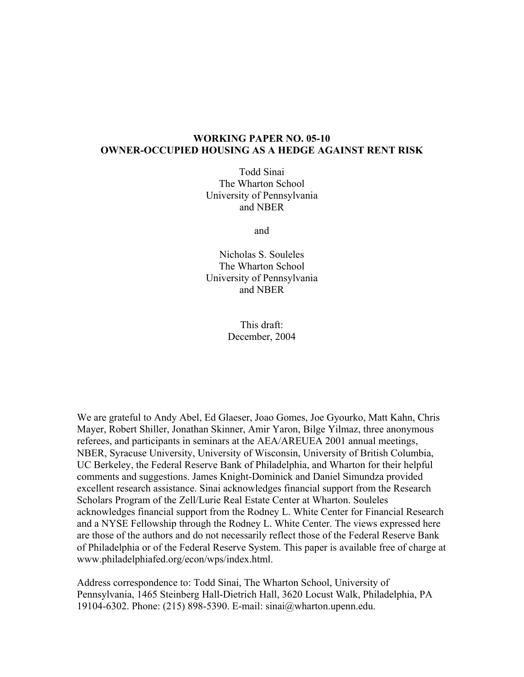## **WORKING PAPER NO. 05-10 OWNER-OCCUPIED HOUSING AS A HEDGE AGAINST RENT RISK**

Todd Sinai The Wharton School University of Pennsylvania and NBER

and

Nicholas S. Souleles The Wharton School University of Pennsylvania and NBER

> This draft: December, 2004

We are grateful to Andy Abel, Ed Glaeser, Joao Gomes, Joe Gyourko, Matt Kahn, Chris Mayer, Robert Shiller, Jonathan Skinner, Amir Yaron, Bilge Yilmaz, three anonymous referees, and participants in seminars at the AEA/AREUEA 2001 annual meetings, NBER, Syracuse University, University of Wisconsin, University of British Columbia, UC Berkeley, the Federal Reserve Bank of Philadelphia, and Wharton for their helpful comments and suggestions. James Knight-Dominick and Daniel Simundza provided excellent research assistance. Sinai acknowledges financial support from the Research Scholars Program of the Zell/Lurie Real Estate Center at Wharton. Souleles acknowledges financial support from the Rodney L. White Center for Financial Research and a NYSE Fellowship through the Rodney L. White Center. The views expressed here are those of the authors and do not necessarily reflect those of the Federal Reserve Bank of Philadelphia or of the Federal Reserve System. This paper is available free of charge at [www.philadelphiafed.org/econ/wps/index.html](http://www.philadelphiafed.org/econ/wps/index.html).

Address correspondence to: Todd Sinai, The Wharton School, University of Pennsylvania, 1465 Steinberg Hall-Dietrich Hall, 3620 Locust Walk, Philadelphia, PA 19104-6302. Phone: (215) 898-5390. E-mail: sinai@wharton.upenn.edu.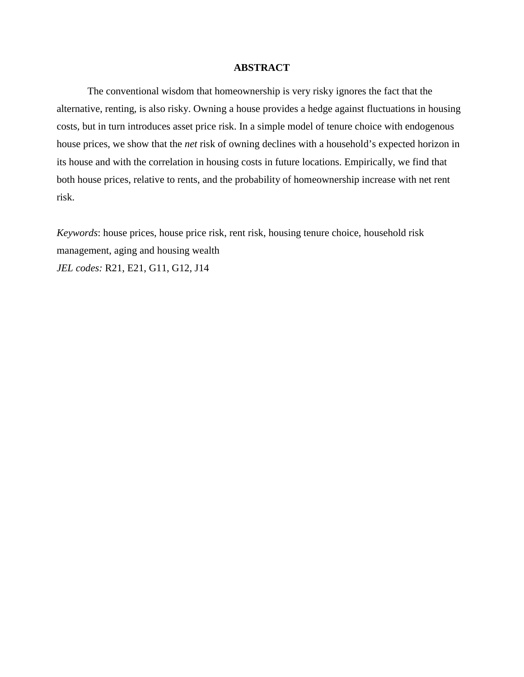## **ABSTRACT**

The conventional wisdom that homeownership is very risky ignores the fact that the alternative, renting, is also risky. Owning a house provides a hedge against fluctuations in housing costs, but in turn introduces asset price risk. In a simple model of tenure choice with endogenous house prices, we show that the *net* risk of owning declines with a household's expected horizon in its house and with the correlation in housing costs in future locations. Empirically, we find that both house prices, relative to rents, and the probability of homeownership increase with net rent risk.

*Keywords*: house prices, house price risk, rent risk, housing tenure choice, household risk management, aging and housing wealth *JEL codes:* R21, E21, G11, G12, J14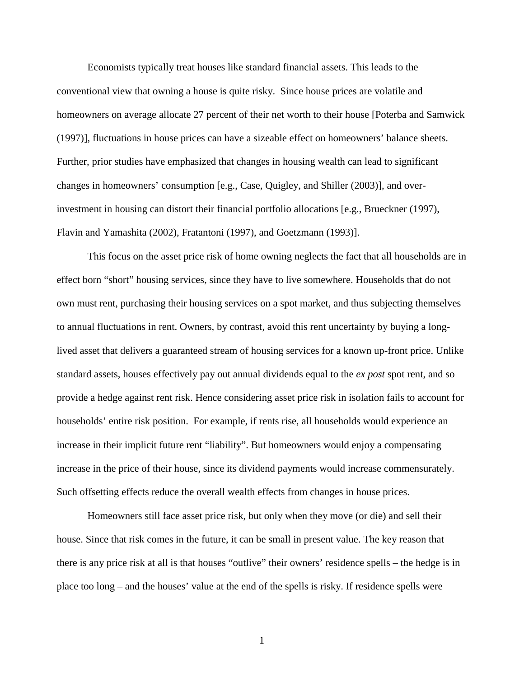Economists typically treat houses like standard financial assets. This leads to the conventional view that owning a house is quite risky. Since house prices are volatile and homeowners on average allocate 27 percent of their net worth to their house [Poterba and Samwick (1997)], fluctuations in house prices can have a sizeable effect on homeowners' balance sheets. Further, prior studies have emphasized that changes in housing wealth can lead to significant changes in homeowners' consumption [e.g., Case, Quigley, and Shiller (2003)], and overinvestment in housing can distort their financial portfolio allocations [e.g., Brueckner (1997), Flavin and Yamashita (2002), Fratantoni (1997), and Goetzmann (1993)].

 This focus on the asset price risk of home owning neglects the fact that all households are in effect born "short" housing services, since they have to live somewhere. Households that do not own must rent, purchasing their housing services on a spot market, and thus subjecting themselves to annual fluctuations in rent. Owners, by contrast, avoid this rent uncertainty by buying a longlived asset that delivers a guaranteed stream of housing services for a known up-front price. Unlike standard assets, houses effectively pay out annual dividends equal to the *ex post* spot rent, and so provide a hedge against rent risk. Hence considering asset price risk in isolation fails to account for households' entire risk position. For example, if rents rise, all households would experience an increase in their implicit future rent "liability". But homeowners would enjoy a compensating increase in the price of their house, since its dividend payments would increase commensurately. Such offsetting effects reduce the overall wealth effects from changes in house prices.

Homeowners still face asset price risk, but only when they move (or die) and sell their house. Since that risk comes in the future, it can be small in present value. The key reason that there is any price risk at all is that houses "outlive" their owners' residence spells – the hedge is in place too long – and the houses' value at the end of the spells is risky. If residence spells were

1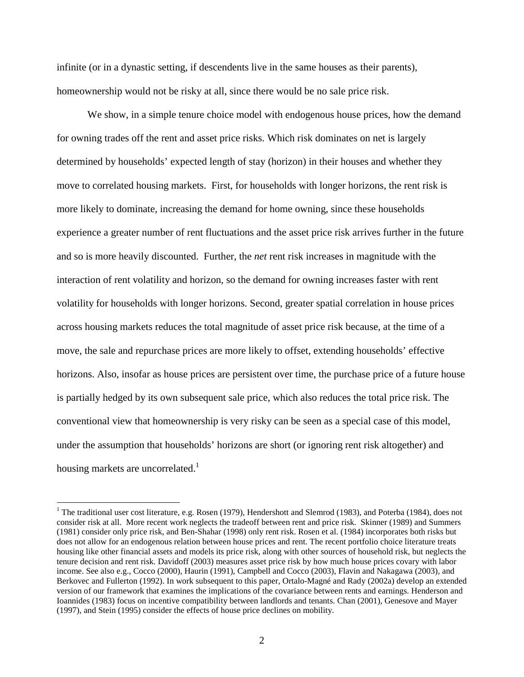infinite (or in a dynastic setting, if descendents live in the same houses as their parents), homeownership would not be risky at all, since there would be no sale price risk.

We show, in a simple tenure choice model with endogenous house prices, how the demand for owning trades off the rent and asset price risks. Which risk dominates on net is largely determined by households' expected length of stay (horizon) in their houses and whether they move to correlated housing markets. First, for households with longer horizons, the rent risk is more likely to dominate, increasing the demand for home owning, since these households experience a greater number of rent fluctuations and the asset price risk arrives further in the future and so is more heavily discounted. Further, the *net* rent risk increases in magnitude with the interaction of rent volatility and horizon, so the demand for owning increases faster with rent volatility for households with longer horizons. Second, greater spatial correlation in house prices across housing markets reduces the total magnitude of asset price risk because, at the time of a move, the sale and repurchase prices are more likely to offset, extending households' effective horizons. Also, insofar as house prices are persistent over time, the purchase price of a future house is partially hedged by its own subsequent sale price, which also reduces the total price risk. The conventional view that homeownership is very risky can be seen as a special case of this model, under the assumption that households' horizons are short (or ignoring rent risk altogether) and housing markets are uncorrelated.<sup>1</sup>

<sup>&</sup>lt;sup>1</sup> The traditional user cost literature, e.g. Rosen (1979), Hendershott and Slemrod (1983), and Poterba (1984), does not consider risk at all. More recent work neglects the tradeoff between rent and price risk. Skinner (1989) and Summers (1981) consider only price risk, and Ben-Shahar (1998) only rent risk. Rosen et al. (1984) incorporates both risks but does not allow for an endogenous relation between house prices and rent. The recent portfolio choice literature treats housing like other financial assets and models its price risk, along with other sources of household risk, but neglects the tenure decision and rent risk. Davidoff (2003) measures asset price risk by how much house prices covary with labor income. See also e.g., Cocco (2000), Haurin (1991), Campbell and Cocco (2003), Flavin and Nakagawa (2003), and Berkovec and Fullerton (1992). In work subsequent to this paper, Ortalo-Magné and Rady (2002a) develop an extended version of our framework that examines the implications of the covariance between rents and earnings. Henderson and Ioannides (1983) focus on incentive compatibility between landlords and tenants. Chan (2001), Genesove and Mayer (1997), and Stein (1995) consider the effects of house price declines on mobility.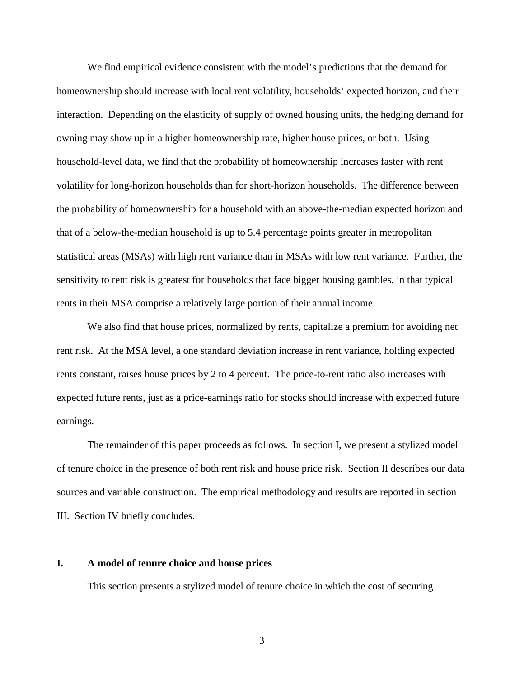We find empirical evidence consistent with the model's predictions that the demand for homeownership should increase with local rent volatility, households' expected horizon, and their interaction. Depending on the elasticity of supply of owned housing units, the hedging demand for owning may show up in a higher homeownership rate, higher house prices, or both. Using household-level data, we find that the probability of homeownership increases faster with rent volatility for long-horizon households than for short-horizon households. The difference between the probability of homeownership for a household with an above-the-median expected horizon and that of a below-the-median household is up to 5.4 percentage points greater in metropolitan statistical areas (MSAs) with high rent variance than in MSAs with low rent variance. Further, the sensitivity to rent risk is greatest for households that face bigger housing gambles, in that typical rents in their MSA comprise a relatively large portion of their annual income.

We also find that house prices, normalized by rents, capitalize a premium for avoiding net rent risk. At the MSA level, a one standard deviation increase in rent variance, holding expected rents constant, raises house prices by 2 to 4 percent. The price-to-rent ratio also increases with expected future rents, just as a price-earnings ratio for stocks should increase with expected future earnings.

The remainder of this paper proceeds as follows. In section I, we present a stylized model of tenure choice in the presence of both rent risk and house price risk. Section II describes our data sources and variable construction. The empirical methodology and results are reported in section III. Section IV briefly concludes.

#### **I. A model of tenure choice and house prices**

This section presents a stylized model of tenure choice in which the cost of securing

3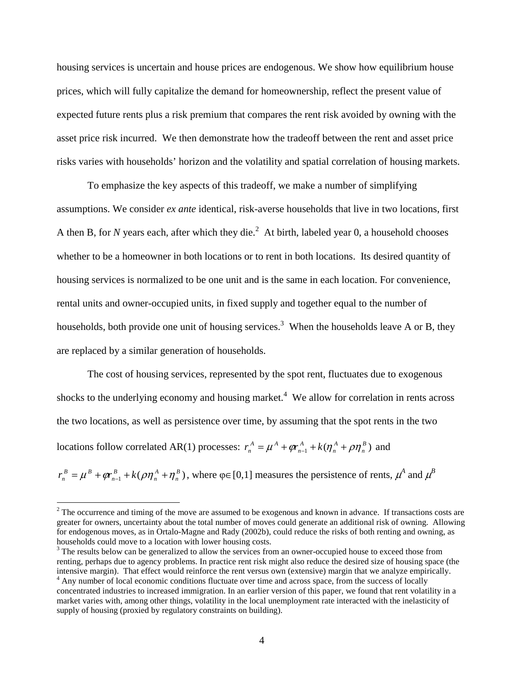housing services is uncertain and house prices are endogenous. We show how equilibrium house prices, which will fully capitalize the demand for homeownership, reflect the present value of expected future rents plus a risk premium that compares the rent risk avoided by owning with the asset price risk incurred. We then demonstrate how the tradeoff between the rent and asset price risks varies with households' horizon and the volatility and spatial correlation of housing markets.

To emphasize the key aspects of this tradeoff, we make a number of simplifying assumptions. We consider *ex ante* identical, risk-averse households that live in two locations, first A then B, for *N* years each, after which they die.<sup>2</sup> At birth, labeled year 0, a household chooses whether to be a homeowner in both locations or to rent in both locations. Its desired quantity of housing services is normalized to be one unit and is the same in each location. For convenience, rental units and owner-occupied units, in fixed supply and together equal to the number of households, both provide one unit of housing services.<sup>3</sup> When the households leave A or B, they are replaced by a similar generation of households.

The cost of housing services, represented by the spot rent, fluctuates due to exogenous shocks to the underlying economy and housing market. $4$  We allow for correlation in rents across the two locations, as well as persistence over time, by assuming that the spot rents in the two locations follow correlated AR(1) processes:  $r_n^A = \mu^A + \varphi r_{n-1}^A + k(\eta_n^A + \rho \eta_n^B)$ *n A n A n*  $r_n^A = \mu^A + \varphi r_{n-1}^A + k(\eta_n^A + \rho \eta_n^B)$  and

 $\eta_1 + k(\rho \eta_n^A + \eta_n^B)$ *n A n B n*  $r_n^B = \mu^B + \varphi r_{n-1}^B + k(\rho \eta_n^A + \eta_n^B)$ , where  $\varphi \in [0,1]$  measures the persistence of rents,  $\mu^A$  and  $\mu^B$ 

 $2^2$  The occurrence and timing of the move are assumed to be exogenous and known in advance. If transactions costs are greater for owners, uncertainty about the total number of moves could generate an additional risk of owning. Allowing for endogenous moves, as in Ortalo-Magne and Rady (2002b), could reduce the risks of both renting and owning, as households could move to a location with lower housing costs.

 $3$  The results below can be generalized to allow the services from an owner-occupied house to exceed those from renting, perhaps due to agency problems. In practice rent risk might also reduce the desired size of housing space (the intensive margin). That effect would reinforce the rent versus own (extensive) margin that we analyze empirically.

<sup>&</sup>lt;sup>4</sup> Any number of local economic conditions fluctuate over time and across space, from the success of locally concentrated industries to increased immigration. In an earlier version of this paper, we found that rent volatility in a market varies with, among other things, volatility in the local unemployment rate interacted with the inelasticity of supply of housing (proxied by regulatory constraints on building).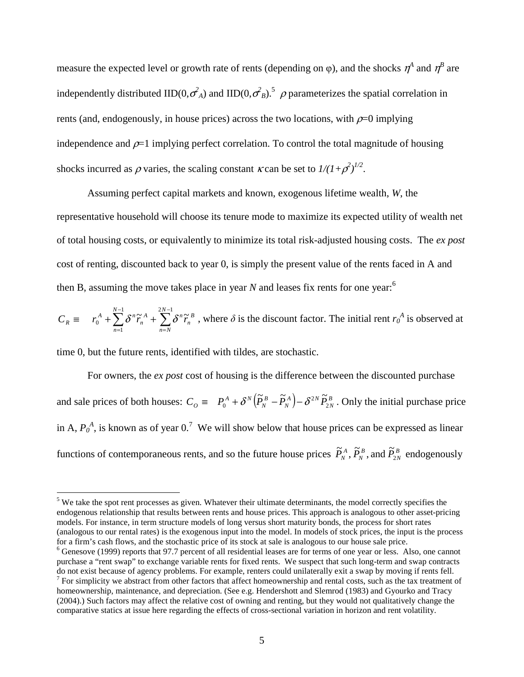measure the expected level or growth rate of rents (depending on  $\varphi$ ), and the shocks  $\eta^A$  and  $\eta^B$  are independently distributed IID(0, $\sigma_A^2$ ) and IID(0, $\sigma_B^2$ ).<sup>5</sup>  $\rho$  parameterizes the spatial correlation in rents (and, endogenously, in house prices) across the two locations, with  $\rho=0$  implying independence and  $\rho=1$  implying perfect correlation. To control the total magnitude of housing shocks incurred as  $\rho$  varies, the scaling constant  $\kappa$  can be set to  $1/(1+\rho^2)^{1/2}$ .

 Assuming perfect capital markets and known, exogenous lifetime wealth, *W*, the representative household will choose its tenure mode to maximize its expected utility of wealth net of total housing costs, or equivalently to minimize its total risk-adjusted housing costs. The *ex post* cost of renting, discounted back to year 0, is simply the present value of the rents faced in A and then B, assuming the move takes place in year  $N$  and leases fix rents for one year:<sup>6</sup>

$$
C_R \equiv r_0^A + \sum_{n=1}^{N-1} \delta^n \tilde{r}_n^A + \sum_{n=N}^{2N-1} \delta^n \tilde{r}_n^B
$$
, where  $\delta$  is the discount factor. The initial rent  $r_0^A$  is observed at

time 0, but the future rents, identified with tildes, are stochastic.

 $\overline{a}$ 

 For owners, the *ex post* cost of housing is the difference between the discounted purchase and sale prices of both houses:  $C_O \equiv P_0^A + \delta^N (\tilde{P}_N^B - \tilde{P}_N^A) - \delta^{2N} \tilde{P}_{2N}^B$ *A*  $\sqrt{2N}$ *N B*  $C_{\hat{O}} \equiv P_0^A + \delta^N \left( \widetilde{P}_N^B - \widetilde{P}_N^A \right) - \delta^{2N} \widetilde{P}_2$  $= P_0^A + \delta^N (\tilde{P}_N^B - \tilde{P}_N^A) - \delta^{2N} \tilde{P}_{2N}^B$ . Only the initial purchase price in A,  $P_0^A$ , is known as of year 0.<sup>7</sup> We will show below that house prices can be expressed as linear functions of contemporaneous rents, and so the future house prices  $\tilde{P}_N^A$ ,  $\tilde{P}_N^B$ , and  $\tilde{P}_{2N}^B$ *B*  $\widetilde{P}_N^A$ ,  $\widetilde{P}_N^B$ , and  $\widetilde{P}_{2N}^B$  endogenously

 $<sup>5</sup>$  We take the spot rent processes as given. Whatever their ultimate determinants, the model correctly specifies the</sup> endogenous relationship that results between rents and house prices. This approach is analogous to other asset-pricing models. For instance, in term structure models of long versus short maturity bonds, the process for short rates (analogous to our rental rates) is the exogenous input into the model. In models of stock prices, the input is the process for a firm's cash flows, and the stochastic price of its stock at sale is analogous to our house sale price.

<sup>&</sup>lt;sup>6</sup> Genesove (1999) reports that 97.7 percent of all residential leases are for terms of one year or less. Also, one cannot purchase a "rent swap" to exchange variable rents for fixed rents. We suspect that such long-term and swap contracts do not exist because of agency problems. For example, renters could unilaterally exit a swap by moving if rents fell.  $<sup>7</sup>$  For simplicity we abstract from other factors that affect homeownership and rental costs, such as the tax treatment of</sup>

homeownership, maintenance, and depreciation. (See e.g. Hendershott and Slemrod (1983) and Gyourko and Tracy (2004).) Such factors may affect the relative cost of owning and renting, but they would not qualitatively change the comparative statics at issue here regarding the effects of cross-sectional variation in horizon and rent volatility.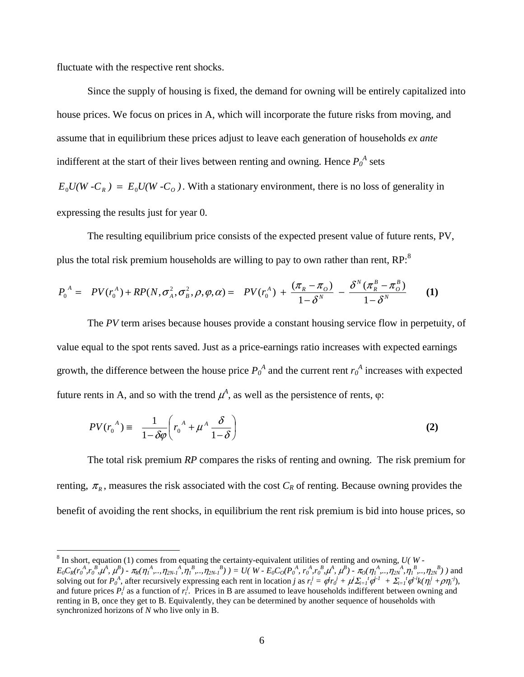fluctuate with the respective rent shocks.

Since the supply of housing is fixed, the demand for owning will be entirely capitalized into house prices. We focus on prices in A, which will incorporate the future risks from moving, and assume that in equilibrium these prices adjust to leave each generation of households *ex ante*  indifferent at the start of their lives between renting and owning. Hence  $P_0^A$  sets  $E_0 U(W - C_R) = E_0 U(W - C_0)$ . With a stationary environment, there is no loss of generality in expressing the results just for year 0.

The resulting equilibrium price consists of the expected present value of future rents, PV, plus the total risk premium households are willing to pay to own rather than rent. RP:<sup>8</sup>

$$
P_0^A = PV(r_0^A) + RP(N, \sigma_A^2, \sigma_B^2, \rho, \varphi, \alpha) = PV(r_0^A) + \frac{(\pi_R - \pi_o)}{1 - \delta^N} - \frac{\delta^N (\pi_R^B - \pi_o^B)}{1 - \delta^N}
$$
 (1)

 The *PV* term arises because houses provide a constant housing service flow in perpetuity, of value equal to the spot rents saved. Just as a price-earnings ratio increases with expected earnings growth, the difference between the house price  $P_0^A$  and the current rent  $r_0^A$  increases with expected future rents in A, and so with the trend  $\mu^A$ , as well as the persistence of rents, φ:

$$
PV(r_0^A) \equiv \frac{1}{1 - \delta \varphi} \left( r_0^A + \mu^A \frac{\delta}{1 - \delta} \right)
$$
 (2)

The total risk premium *RP* compares the risks of renting and owning. The risk premium for renting,  $\pi_R$ , measures the risk associated with the cost  $C_R$  of renting. Because owning provides the benefit of avoiding the rent shocks, in equilibrium the rent risk premium is bid into house prices, so

 8 In short, equation (1) comes from equating the certainty-equivalent utilities of renting and owning, *U( W -*   $E_0C_R(r_0^A,r_0^B,\mu^A, \mu^B)$  -  $\pi_R(\eta_1^A, \ldots, \eta_{2N-1}^A, \eta_1^B, \ldots, \eta_{2N-1}^B)$   $) = U(W - E_0C_0(P_0^A, r_0^A, r_0^B, \mu^A, \mu^B)$  -  $\pi_0(\eta_1^A, \ldots, \eta_{2N}^A, \eta_1^B, \ldots, \eta_{2N}^B)$  and solving out for  $P_0^A$ , after recursively expressing each rent in location j as  $r_t^j = \phi r_0^j + \mu^j \Sigma_{i=1}^t \phi^{i-1} + \Sigma_{i=1}^t \phi^{i-1} k(\eta_i^j + \rho \eta_i^j)$ , and future prices  $P_t^j$  as a function of  $r_t^j$ . Prices in B are assumed to leave households indifferent between owning and renting in B, once they get to B. Equivalently, they can be determined by another sequence of households with synchronized horizons of *N* who live only in B.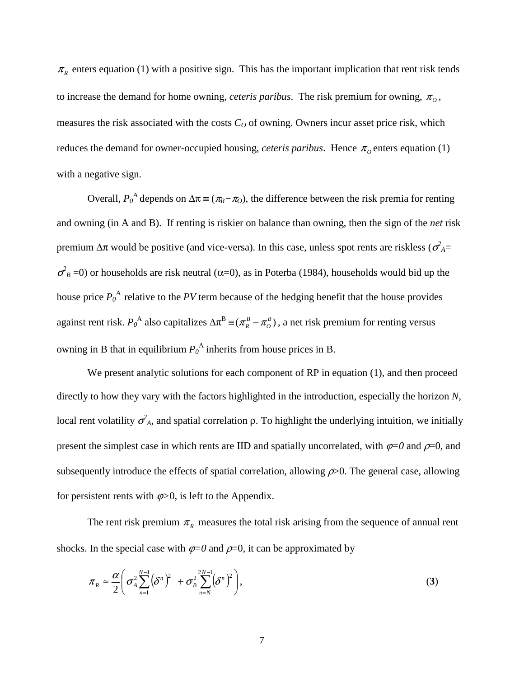$\pi_R$  enters equation (1) with a positive sign. This has the important implication that rent risk tends to increase the demand for home owning, *ceteris paribus*. The risk premium for owning,  $\pi$ <sub>o</sub>, measures the risk associated with the costs  $C<sub>O</sub>$  of owning. Owners incur asset price risk, which reduces the demand for owner-occupied housing, *ceteris paribus*. Hence  $\pi_0$  enters equation (1) with a negative sign.

Overall,  $P_0^A$  depends on  $\Delta \pi \equiv (\pi_R - \pi_O)$ , the difference between the risk premia for renting and owning (in A and B). If renting is riskier on balance than owning, then the sign of the *net* risk premium  $\Delta \pi$  would be positive (and vice-versa). In this case, unless spot rents are riskless ( $\sigma_A^2$ =  $σ<sup>2</sup><sub>B</sub> = 0$ ) or households are risk neutral (α=0), as in Poterba (1984), households would bid up the house price  $P_0^A$  relative to the *PV* term because of the hedging benefit that the house provides against rent risk.  $P_0^A$  also capitalizes  $\Delta \pi^B \equiv (\pi^B - \pi^B)$ , a net risk premium for renting versus owning in B that in equilibrium  $P_0^A$  inherits from house prices in B.

We present analytic solutions for each component of RP in equation (1), and then proceed directly to how they vary with the factors highlighted in the introduction, especially the horizon *N*, local rent volatility  $\sigma_A^2$ , and spatial correlation  $\rho$ . To highlight the underlying intuition, we initially present the simplest case in which rents are IID and spatially uncorrelated, with  $\varphi=0$  and  $\rho=0$ , and subsequently introduce the effects of spatial correlation, allowing  $\rho$  >0. The general case, allowing for persistent rents with  $\varphi > 0$ , is left to the Appendix.

The rent risk premium  $\pi$ <sub>R</sub> measures the total risk arising from the sequence of annual rent shocks. In the special case with  $\varphi=0$  and  $\rho=0$ , it can be approximated by

$$
\pi_R \approx \frac{\alpha}{2} \bigg( \sigma_A^2 \sum_{n=1}^{N-1} \bigg( \delta^n \bigg)^2 + \sigma_B^2 \sum_{n=N}^{2N-1} \bigg( \delta^n \bigg)^2 \bigg), \tag{3}
$$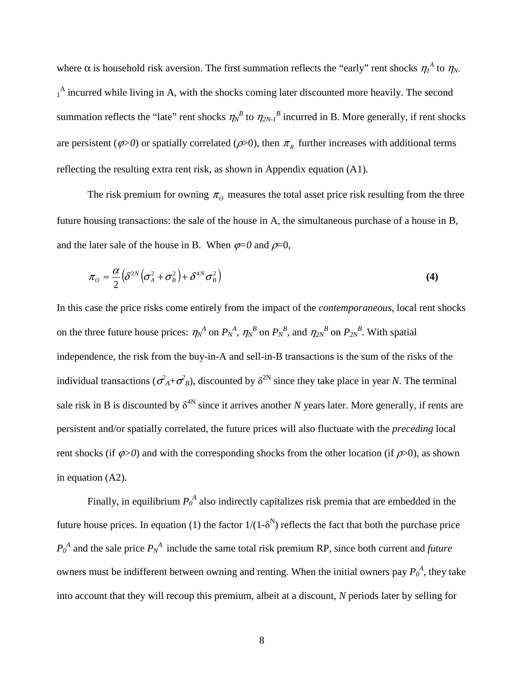where  $\alpha$  is household risk aversion. The first summation reflects the "early" rent shocks  $\eta_1^A$  to  $\eta_N$ . <sup>1</sup> incurred while living in A, with the shocks coming later discounted more heavily. The second summation reflects the "late" rent shocks  $\eta_N^B$  to  $\eta_{2N}^B$  incurred in B. More generally, if rent shocks are persistent ( $\varphi$ >0) or spatially correlated ( $\varphi$ >0), then  $\pi$ <sub>*R*</sub> further increases with additional terms reflecting the resulting extra rent risk, as shown in Appendix equation (A1).

The risk premium for owning  $\pi$ <sub>o</sub> measures the total asset price risk resulting from the three future housing transactions: the sale of the house in A, the simultaneous purchase of a house in B, and the later sale of the house in B. When  $\varphi=0$  and  $\rho=0$ ,

$$
\pi_o \approx \frac{\alpha}{2} \left( \delta^{2N} \left( \sigma_A^2 + \sigma_B^2 \right) + \delta^{4N} \sigma_B^2 \right)
$$
 (4)

In this case the price risks come entirely from the impact of the *contemporaneous*, local rent shocks on the three future house prices:  $\eta_N^A$  on  $P_N^A$ ,  $\eta_N^B$  on  $P_N^B$ , and  $\eta_{2N}^B$  on  $P_{2N}^B$ . With spatial independence, the risk from the buy-in-A and sell-in-B transactions is the sum of the risks of the individual transactions ( $\sigma_A^2 + \sigma_B^2$ ), discounted by  $\delta^{2N}$  since they take place in year *N*. The terminal sale risk in B is discounted by  $\delta^{4N}$  since it arrives another *N* years later. More generally, if rents are persistent and/or spatially correlated, the future prices will also fluctuate with the *preceding* local rent shocks (if  $\varphi > 0$ ) and with the corresponding shocks from the other location (if  $\varphi > 0$ ), as shown in equation (A2).

Finally, in equilibrium  $P_0^A$  also indirectly capitalizes risk premia that are embedded in the future house prices. In equation (1) the factor  $1/(1-\delta^{N})$  reflects the fact that both the purchase price  $P_0^A$  and the sale price  $P_N^A$  include the same total risk premium RP, since both current and *future* owners must be indifferent between owning and renting. When the initial owners pay  $P_0^A$ , they take into account that they will recoup this premium, albeit at a discount, *N* periods later by selling for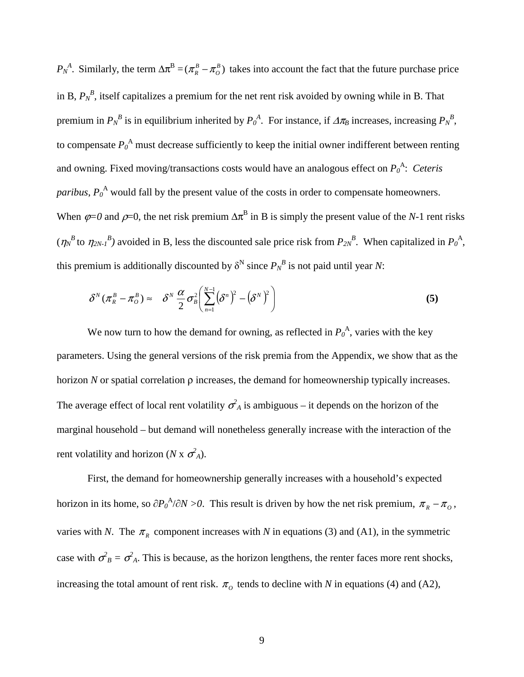*P<sub>N</sub>*<sup>A</sup>. Similarly, the term  $\Delta \pi^B = (\pi^B - \pi^B)$  takes into account the fact that the future purchase price in B,  $P_N^B$ , itself capitalizes a premium for the net rent risk avoided by owning while in B. That premium in  $P_N^B$  is in equilibrium inherited by  $P_0^A$ . For instance, if  $\Delta \pi_B$  increases, increasing  $P_N^B$ , to compensate  $P_0^A$  must decrease sufficiently to keep the initial owner indifferent between renting and owning. Fixed moving/transactions costs would have an analogous effect on  $P_0^{\{A\}}$ : Ceteris *paribus*,  $P_0^A$  would fall by the present value of the costs in order to compensate homeowners. When  $\varphi$ =0 and  $\rho$ =0, the net risk premium  $\Delta \pi^B$  in B is simply the present value of the *N*-1 rent risks  $(\eta_N^B$  to  $\eta_{2N-1}^B$  avoided in B, less the discounted sale price risk from  $P_{2N}^B$ . When capitalized in  $P_0^A$ , this premium is additionally discounted by  $\delta^N$  since  $P_N^B$  is not paid until year *N*:

$$
\delta^N(\pi_R^B - \pi_O^B) \approx \delta^N \frac{\alpha}{2} \sigma_B^2 \left( \sum_{n=1}^{N-1} (\delta^n)^2 - (\delta^N)^2 \right)
$$
 (5)

We now turn to how the demand for owning, as reflected in  $P_0^A$ , varies with the key parameters. Using the general versions of the risk premia from the Appendix, we show that as the horizon *N* or spatial correlation  $\rho$  increases, the demand for homeownership typically increases. The average effect of local rent volatility  $\sigma_A^2$  is ambiguous – it depends on the horizon of the marginal household – but demand will nonetheless generally increase with the interaction of the rent volatility and horizon (*N* x  $\sigma_A^2$ ).

First, the demand for homeownership generally increases with a household's expected horizon in its home, so  $\partial P_0^A/\partial N > 0$ . This result is driven by how the net risk premium,  $\pi_R - \pi_O$ , varies with *N*. The  $\pi_R$  component increases with *N* in equations (3) and (A1), in the symmetric case with  $\sigma_B^2 = \sigma_A^2$ . This is because, as the horizon lengthens, the renter faces more rent shocks, increasing the total amount of rent risk.  $\pi_0$  tends to decline with *N* in equations (4) and (A2),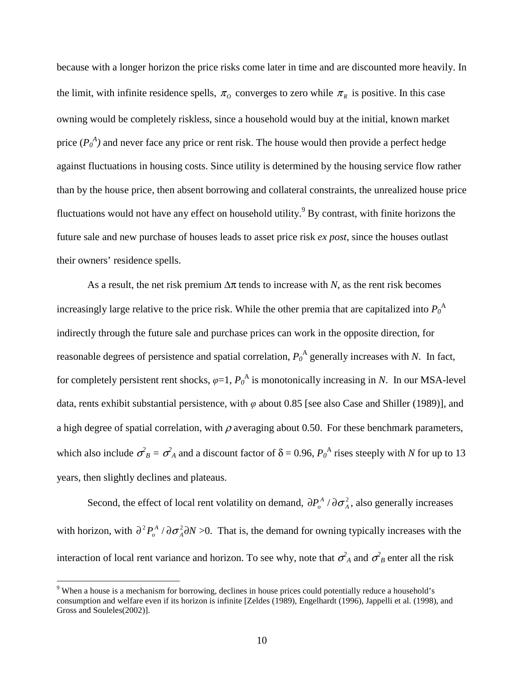because with a longer horizon the price risks come later in time and are discounted more heavily. In the limit, with infinite residence spells,  $\pi$ <sup>0</sup> converges to zero while  $\pi$ <sup>R</sup> is positive. In this case owning would be completely riskless, since a household would buy at the initial, known market price  $(P_0^A)$  and never face any price or rent risk. The house would then provide a perfect hedge against fluctuations in housing costs. Since utility is determined by the housing service flow rather than by the house price, then absent borrowing and collateral constraints, the unrealized house price fluctuations would not have any effect on household utility.<sup>9</sup> By contrast, with finite horizons the future sale and new purchase of houses leads to asset price risk *ex post*, since the houses outlast their owners' residence spells.

As a result, the net risk premium  $\Delta \pi$  tends to increase with *N*, as the rent risk becomes increasingly large relative to the price risk. While the other premia that are capitalized into  $P_0^{\phantom{0}A}$ indirectly through the future sale and purchase prices can work in the opposite direction, for reasonable degrees of persistence and spatial correlation,  $P_0^A$  generally increases with *N*. In fact, for completely persistent rent shocks,  $\varphi$ =1,  $P_0^A$  is monotonically increasing in *N*. In our MSA-level data, rents exhibit substantial persistence, with *φ* about 0.85 [see also Case and Shiller (1989)], and a high degree of spatial correlation, with  $\rho$  averaging about 0.50. For these benchmark parameters, which also include  $\sigma_B^2 = \sigma_A^2$  and a discount factor of  $\delta = 0.96$ ,  $P_0^A$  rises steeply with *N* for up to 13 years, then slightly declines and plateaus.

Second, the effect of local rent volatility on demand,  $\partial P_o^A / \partial \sigma_A^2$ , also generally increases with horizon, with  $\partial^2 P_o^A / \partial \sigma_A^2 \partial N > 0$ . That is, the demand for owning typically increases with the interaction of local rent variance and horizon. To see why, note that  $\sigma_A^2$  and  $\sigma_B^2$  enter all the risk

<sup>&</sup>lt;sup>9</sup> When a house is a mechanism for borrowing, declines in house prices could potentially reduce a household's consumption and welfare even if its horizon is infinite [Zeldes (1989), Engelhardt (1996), Jappelli et al*.* (1998), and Gross and Souleles(2002)].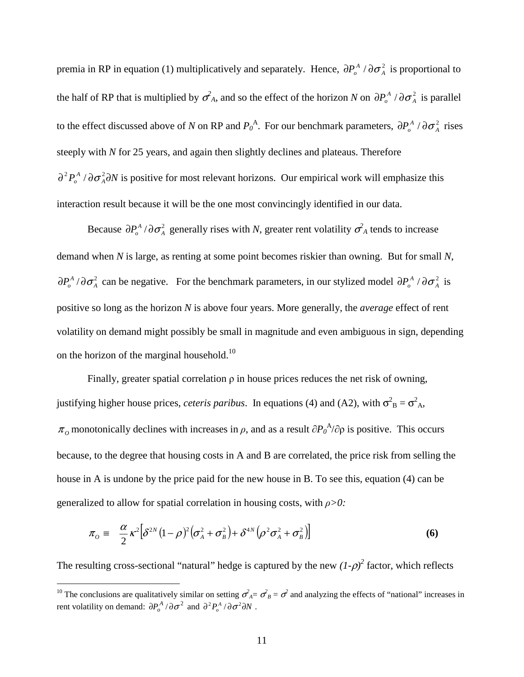premia in RP in equation (1) multiplicatively and separately. Hence,  $\partial P_o^A / \partial \sigma_A^2$  is proportional to the half of RP that is multiplied by  $\sigma_A^2$ , and so the effect of the horizon *N* on  $\partial P_a^A / \partial \sigma_A^2$  is parallel to the effect discussed above of *N* on RP and  $P_0^A$ . For our benchmark parameters,  $\partial P_0^A / \partial \sigma_A^2$  rises steeply with *N* for 25 years, and again then slightly declines and plateaus. Therefore  $\partial^2 P_o^A / \partial \sigma_A^2 \partial N$  is positive for most relevant horizons. Our empirical work will emphasize this interaction result because it will be the one most convincingly identified in our data.

Because  $\partial P_o^A / \partial \sigma_A^2$  generally rises with *N*, greater rent volatility  $\sigma_A^2$  tends to increase demand when *N* is large, as renting at some point becomes riskier than owning. But for small *N*,  $\partial P_o^A/\partial \sigma_A^2$  can be negative. For the benchmark parameters, in our stylized model  $\partial P_o^A/\partial \sigma_A^2$  is positive so long as the horizon *N* is above four years. More generally, the *average* effect of rent volatility on demand might possibly be small in magnitude and even ambiguous in sign, depending on the horizon of the marginal household.<sup>10</sup>

Finally, greater spatial correlation  $\rho$  in house prices reduces the net risk of owning, justifying higher house prices, *ceteris paribus*. In equations (4) and (A2), with  $\sigma_B^2 = \sigma_{A}^2$ ,  $\pi_o$  monotonically declines with increases in  $\rho$ , and as a result  $\partial P_o^A/\partial \rho$  is positive. This occurs because, to the degree that housing costs in A and B are correlated, the price risk from selling the house in A is undone by the price paid for the new house in B. To see this, equation (4) can be generalized to allow for spatial correlation in housing costs, with *ρ>0:* 

$$
\pi_o \equiv \frac{\alpha}{2} \kappa^2 \Big[ \delta^{2N} (1 - \rho)^2 \big( \sigma_A^2 + \sigma_B^2 \big) + \delta^{4N} \big( \rho^2 \sigma_A^2 + \sigma_B^2 \big) \Big]
$$
(6)

The resulting cross-sectional "natural" hedge is captured by the new  $(I-\rho)^2$  factor, which reflects

<sup>&</sup>lt;sup>10</sup> The conclusions are qualitatively similar on setting  $\sigma_A^2 = \sigma_B^2 = \sigma^2$  and analyzing the effects of "national" increases in rent volatility on demand:  $\partial P_o^A / \partial \sigma^2$  and  $\partial^2 P_o^A / \partial \sigma^2 \partial N$ .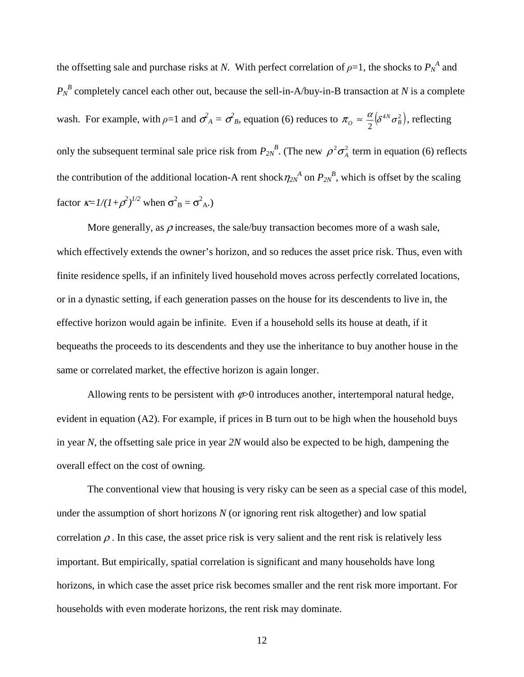the offsetting sale and purchase risks at *N*. With perfect correlation of  $\rho$ =1, the shocks to  $P_N^A$  and  $P_N^B$  completely cancel each other out, because the sell-in-A/buy-in-B transaction at *N* is a complete wash. For example, with  $\rho=1$  and  $\sigma_A^2 = \sigma_B^2$ , equation (6) reduces to  $\pi_o \approx \frac{\alpha}{2} (\delta^{4N} \sigma_B^2)$ , reflecting only the subsequent terminal sale price risk from  $P_{2N}^B$ . (The new  $\rho^2 \sigma_A^2$  term in equation (6) reflects the contribution of the additional location-A rent shock  $\eta_{2N}^A$  on  $P_{2N}^B$ , which is offset by the scaling factor  $\kappa = I/(I + \rho^2)^{1/2}$  when  $\sigma_B^2 = \sigma_{A}^2$ .

More generally, as  $\rho$  increases, the sale/buy transaction becomes more of a wash sale, which effectively extends the owner's horizon, and so reduces the asset price risk. Thus, even with finite residence spells, if an infinitely lived household moves across perfectly correlated locations, or in a dynastic setting, if each generation passes on the house for its descendents to live in, the effective horizon would again be infinite. Even if a household sells its house at death, if it bequeaths the proceeds to its descendents and they use the inheritance to buy another house in the same or correlated market, the effective horizon is again longer.

Allowing rents to be persistent with  $\varphi$ >0 introduces another, intertemporal natural hedge, evident in equation (A2). For example, if prices in B turn out to be high when the household buys in year *N*, the offsetting sale price in year *2N* would also be expected to be high, dampening the overall effect on the cost of owning.

The conventional view that housing is very risky can be seen as a special case of this model, under the assumption of short horizons *N* (or ignoring rent risk altogether) and low spatial correlation  $\rho$ . In this case, the asset price risk is very salient and the rent risk is relatively less important. But empirically, spatial correlation is significant and many households have long horizons, in which case the asset price risk becomes smaller and the rent risk more important. For households with even moderate horizons, the rent risk may dominate.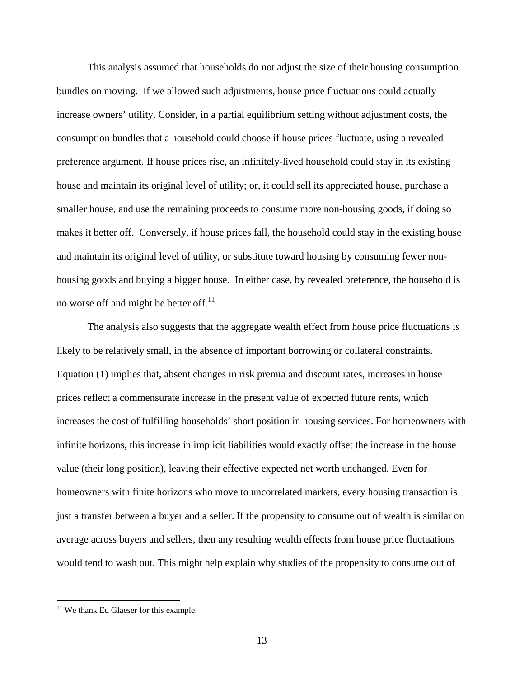This analysis assumed that households do not adjust the size of their housing consumption bundles on moving. If we allowed such adjustments, house price fluctuations could actually increase owners' utility. Consider, in a partial equilibrium setting without adjustment costs, the consumption bundles that a household could choose if house prices fluctuate, using a revealed preference argument. If house prices rise, an infinitely-lived household could stay in its existing house and maintain its original level of utility; or, it could sell its appreciated house, purchase a smaller house, and use the remaining proceeds to consume more non-housing goods, if doing so makes it better off. Conversely, if house prices fall, the household could stay in the existing house and maintain its original level of utility, or substitute toward housing by consuming fewer nonhousing goods and buying a bigger house. In either case, by revealed preference, the household is no worse off and might be better off. $^{11}$ 

The analysis also suggests that the aggregate wealth effect from house price fluctuations is likely to be relatively small, in the absence of important borrowing or collateral constraints. Equation (1) implies that, absent changes in risk premia and discount rates, increases in house prices reflect a commensurate increase in the present value of expected future rents, which increases the cost of fulfilling households' short position in housing services. For homeowners with infinite horizons, this increase in implicit liabilities would exactly offset the increase in the house value (their long position), leaving their effective expected net worth unchanged. Even for homeowners with finite horizons who move to uncorrelated markets, every housing transaction is just a transfer between a buyer and a seller. If the propensity to consume out of wealth is similar on average across buyers and sellers, then any resulting wealth effects from house price fluctuations would tend to wash out. This might help explain why studies of the propensity to consume out of

<sup>&</sup>lt;sup>11</sup> We thank Ed Glaeser for this example.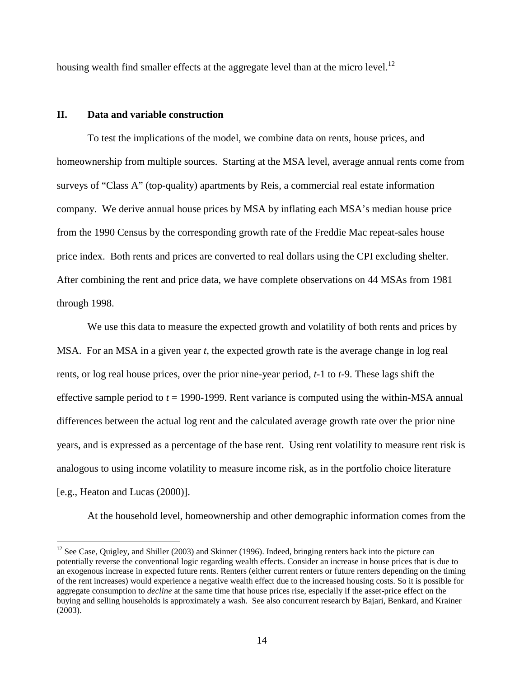housing wealth find smaller effects at the aggregate level than at the micro level.<sup>12</sup>

## **II. Data and variable construction**

 $\overline{a}$ 

To test the implications of the model, we combine data on rents, house prices, and homeownership from multiple sources. Starting at the MSA level, average annual rents come from surveys of "Class A" (top-quality) apartments by Reis, a commercial real estate information company. We derive annual house prices by MSA by inflating each MSA's median house price from the 1990 Census by the corresponding growth rate of the Freddie Mac repeat-sales house price index. Both rents and prices are converted to real dollars using the CPI excluding shelter. After combining the rent and price data, we have complete observations on 44 MSAs from 1981 through 1998.

We use this data to measure the expected growth and volatility of both rents and prices by MSA. For an MSA in a given year *t*, the expected growth rate is the average change in log real rents, or log real house prices, over the prior nine-year period, *t*-1 to *t*-9. These lags shift the effective sample period to *t* = 1990-1999. Rent variance is computed using the within-MSA annual differences between the actual log rent and the calculated average growth rate over the prior nine years, and is expressed as a percentage of the base rent. Using rent volatility to measure rent risk is analogous to using income volatility to measure income risk, as in the portfolio choice literature [e.g., Heaton and Lucas (2000)].

At the household level, homeownership and other demographic information comes from the

<sup>&</sup>lt;sup>12</sup> See Case, Quigley, and Shiller (2003) and Skinner (1996). Indeed, bringing renters back into the picture can potentially reverse the conventional logic regarding wealth effects. Consider an increase in house prices that is due to an exogenous increase in expected future rents. Renters (either current renters or future renters depending on the timing of the rent increases) would experience a negative wealth effect due to the increased housing costs. So it is possible for aggregate consumption to *decline* at the same time that house prices rise, especially if the asset-price effect on the buying and selling households is approximately a wash. See also concurrent research by Bajari, Benkard, and Krainer (2003).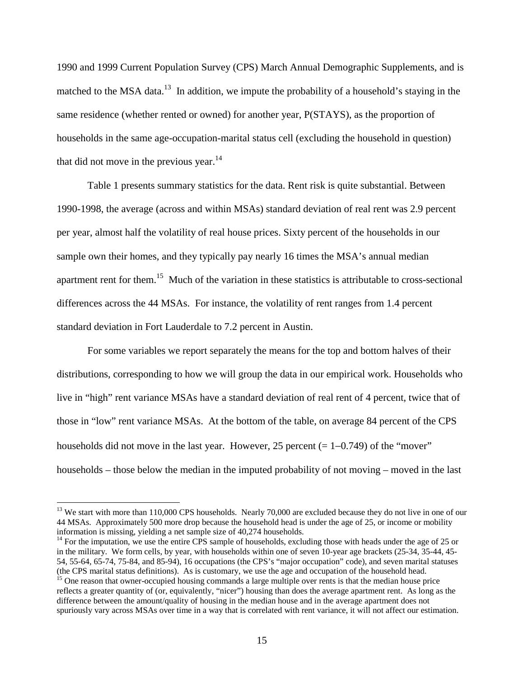1990 and 1999 Current Population Survey (CPS) March Annual Demographic Supplements, and is matched to the MSA data.<sup>13</sup> In addition, we impute the probability of a household's staying in the same residence (whether rented or owned) for another year, P(STAYS), as the proportion of households in the same age-occupation-marital status cell (excluding the household in question) that did not move in the previous year. $14$ 

Table 1 presents summary statistics for the data. Rent risk is quite substantial. Between 1990-1998, the average (across and within MSAs) standard deviation of real rent was 2.9 percent per year, almost half the volatility of real house prices. Sixty percent of the households in our sample own their homes, and they typically pay nearly 16 times the MSA's annual median apartment rent for them.15 Much of the variation in these statistics is attributable to cross-sectional differences across the 44 MSAs. For instance, the volatility of rent ranges from 1.4 percent standard deviation in Fort Lauderdale to 7.2 percent in Austin.

For some variables we report separately the means for the top and bottom halves of their distributions, corresponding to how we will group the data in our empirical work. Households who live in "high" rent variance MSAs have a standard deviation of real rent of 4 percent, twice that of those in "low" rent variance MSAs. At the bottom of the table, on average 84 percent of the CPS households did not move in the last year. However, 25 percent (= 1−0.749) of the "mover" households – those below the median in the imputed probability of not moving – moved in the last

<sup>&</sup>lt;sup>13</sup> We start with more than 110,000 CPS households. Nearly 70,000 are excluded because they do not live in one of our 44 MSAs. Approximately 500 more drop because the household head is under the age of 25, or income or mobility information is missing, yielding a net sample size of 40,274 households.

 $14$  For the imputation, we use the entire CPS sample of households, excluding those with heads under the age of 25 or in the military. We form cells, by year, with households within one of seven 10-year age brackets (25-34, 35-44, 45- 54, 55-64, 65-74, 75-84, and 85-94), 16 occupations (the CPS's "major occupation" code), and seven marital statuses (the CPS marital statuses (the CPS marital statuses). As is customary, we use the age and occupation of th

<sup>&</sup>lt;sup>15</sup> One reason that owner-occupied housing commands a large multiple over rents is that the median house price reflects a greater quantity of (or, equivalently, "nicer") housing than does the average apartment rent. As long as the difference between the amount/quality of housing in the median house and in the average apartment does not spuriously vary across MSAs over time in a way that is correlated with rent variance, it will not affect our estimation.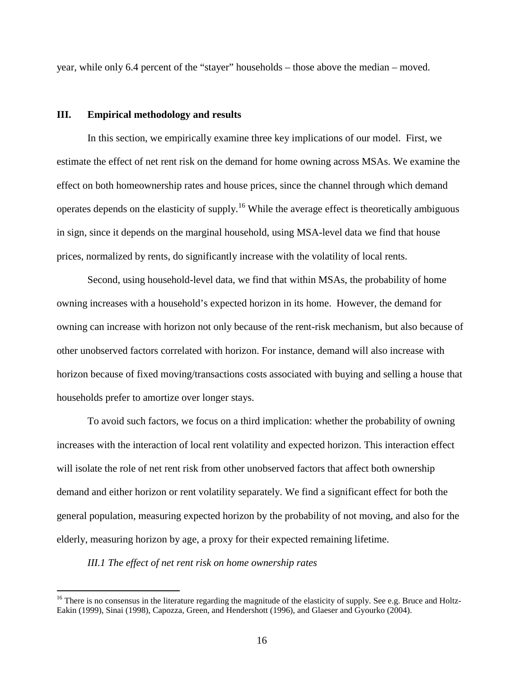year, while only 6.4 percent of the "stayer" households – those above the median – moved.

## **III. Empirical methodology and results**

In this section, we empirically examine three key implications of our model. First, we estimate the effect of net rent risk on the demand for home owning across MSAs. We examine the effect on both homeownership rates and house prices, since the channel through which demand operates depends on the elasticity of supply.16 While the average effect is theoretically ambiguous in sign, since it depends on the marginal household, using MSA-level data we find that house prices, normalized by rents, do significantly increase with the volatility of local rents.

Second, using household-level data, we find that within MSAs, the probability of home owning increases with a household's expected horizon in its home. However, the demand for owning can increase with horizon not only because of the rent-risk mechanism, but also because of other unobserved factors correlated with horizon. For instance, demand will also increase with horizon because of fixed moving/transactions costs associated with buying and selling a house that households prefer to amortize over longer stays.

To avoid such factors, we focus on a third implication: whether the probability of owning increases with the interaction of local rent volatility and expected horizon. This interaction effect will isolate the role of net rent risk from other unobserved factors that affect both ownership demand and either horizon or rent volatility separately. We find a significant effect for both the general population, measuring expected horizon by the probability of not moving, and also for the elderly, measuring horizon by age, a proxy for their expected remaining lifetime.

*III.1 The effect of net rent risk on home ownership rates* 

 $16$  There is no consensus in the literature regarding the magnitude of the elasticity of supply. See e.g. Bruce and Holtz-Eakin (1999), Sinai (1998), Capozza, Green, and Hendershott (1996), and Glaeser and Gyourko (2004).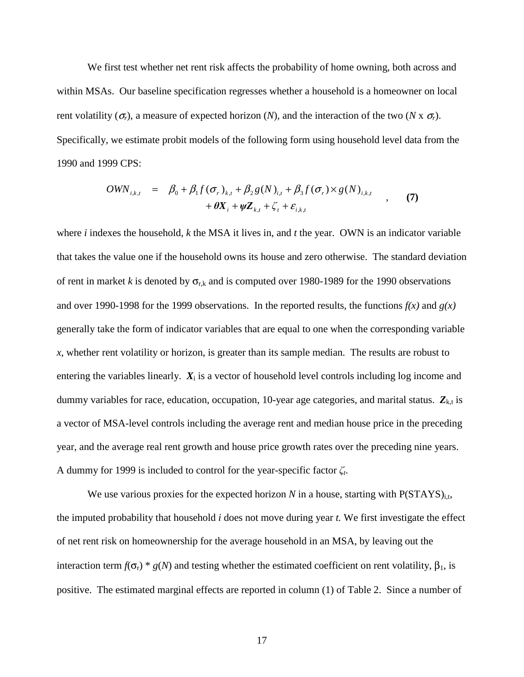We first test whether net rent risk affects the probability of home owning, both across and within MSAs. Our baseline specification regresses whether a household is a homeowner on local rent volatility  $(\sigma_r)$ , a measure of expected horizon  $(N)$ , and the interaction of the two  $(N \times \sigma_r)$ . Specifically, we estimate probit models of the following form using household level data from the 1990 and 1999 CPS:

$$
OWN_{i,k,t} = \beta_0 + \beta_1 f(\sigma_r)_{k,t} + \beta_2 g(N)_{i,t} + \beta_3 f(\sigma_r) \times g(N)_{i,k,t} + \theta X_i + \psi Z_{k,t} + \zeta_t + \varepsilon_{i,k,t}
$$
 (7)

where *i* indexes the household, *k* the MSA it lives in, and *t* the year. OWN is an indicator variable that takes the value one if the household owns its house and zero otherwise. The standard deviation of rent in market *k* is denoted by  $\sigma_{r,k}$  and is computed over 1980-1989 for the 1990 observations and over 1990-1998 for the 1999 observations. In the reported results, the functions *f(x)* and *g(x)* generally take the form of indicator variables that are equal to one when the corresponding variable *x*, whether rent volatility or horizon, is greater than its sample median. The results are robust to entering the variables linearly.  $X_i$  is a vector of household level controls including log income and dummy variables for race, education, occupation, 10-year age categories, and marital status.  $Z_{k,t}$  is a vector of MSA-level controls including the average rent and median house price in the preceding year, and the average real rent growth and house price growth rates over the preceding nine years. A dummy for 1999 is included to control for the year-specific factor *ζt*.

We use various proxies for the expected horizon  $N$  in a house, starting with  $P(STAYS)_{i,t}$ , the imputed probability that household *i* does not move during year *t.* We first investigate the effect of net rent risk on homeownership for the average household in an MSA, by leaving out the interaction term  $f(σ<sub>r</sub>) * g(N)$  and testing whether the estimated coefficient on rent volatility,  $β<sub>1</sub>$ , is positive. The estimated marginal effects are reported in column (1) of Table 2. Since a number of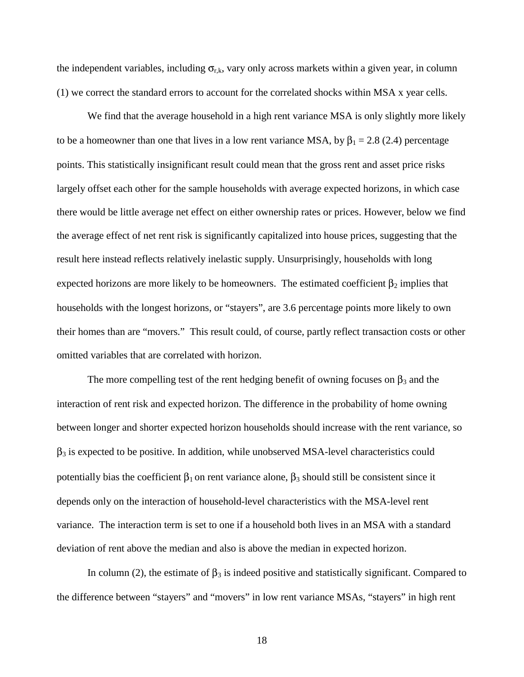the independent variables, including  $\sigma_{r,k}$ , vary only across markets within a given year, in column (1) we correct the standard errors to account for the correlated shocks within MSA x year cells.

We find that the average household in a high rent variance MSA is only slightly more likely to be a homeowner than one that lives in a low rent variance MSA, by  $\beta_1 = 2.8$  (2.4) percentage points. This statistically insignificant result could mean that the gross rent and asset price risks largely offset each other for the sample households with average expected horizons, in which case there would be little average net effect on either ownership rates or prices. However, below we find the average effect of net rent risk is significantly capitalized into house prices, suggesting that the result here instead reflects relatively inelastic supply. Unsurprisingly, households with long expected horizons are more likely to be homeowners. The estimated coefficient  $\beta_2$  implies that households with the longest horizons, or "stayers", are 3.6 percentage points more likely to own their homes than are "movers." This result could, of course, partly reflect transaction costs or other omitted variables that are correlated with horizon.

The more compelling test of the rent hedging benefit of owning focuses on  $\beta_3$  and the interaction of rent risk and expected horizon. The difference in the probability of home owning between longer and shorter expected horizon households should increase with the rent variance, so  $\beta_3$  is expected to be positive. In addition, while unobserved MSA-level characteristics could potentially bias the coefficient  $\beta_1$  on rent variance alone,  $\beta_3$  should still be consistent since it depends only on the interaction of household-level characteristics with the MSA-level rent variance. The interaction term is set to one if a household both lives in an MSA with a standard deviation of rent above the median and also is above the median in expected horizon.

In column (2), the estimate of  $\beta_3$  is indeed positive and statistically significant. Compared to the difference between "stayers" and "movers" in low rent variance MSAs, "stayers" in high rent

18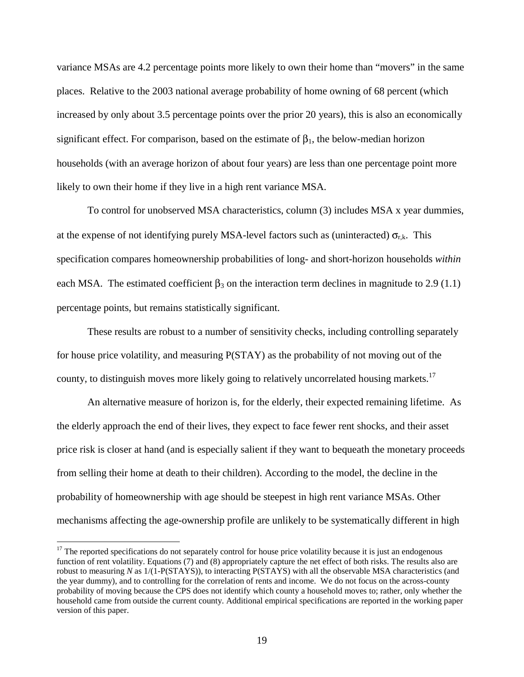variance MSAs are 4.2 percentage points more likely to own their home than "movers" in the same places. Relative to the 2003 national average probability of home owning of 68 percent (which increased by only about 3.5 percentage points over the prior 20 years), this is also an economically significant effect. For comparison, based on the estimate of  $\beta_1$ , the below-median horizon households (with an average horizon of about four years) are less than one percentage point more likely to own their home if they live in a high rent variance MSA.

To control for unobserved MSA characteristics, column (3) includes MSA x year dummies, at the expense of not identifying purely MSA-level factors such as (uninteracted)  $\sigma_{rk}$ . This specification compares homeownership probabilities of long- and short-horizon households *within* each MSA. The estimated coefficient  $\beta_3$  on the interaction term declines in magnitude to 2.9 (1.1) percentage points, but remains statistically significant.

These results are robust to a number of sensitivity checks, including controlling separately for house price volatility, and measuring P(STAY) as the probability of not moving out of the county, to distinguish moves more likely going to relatively uncorrelated housing markets.<sup>17</sup>

An alternative measure of horizon is, for the elderly, their expected remaining lifetime. As the elderly approach the end of their lives, they expect to face fewer rent shocks, and their asset price risk is closer at hand (and is especially salient if they want to bequeath the monetary proceeds from selling their home at death to their children). According to the model, the decline in the probability of homeownership with age should be steepest in high rent variance MSAs. Other mechanisms affecting the age-ownership profile are unlikely to be systematically different in high

<sup>&</sup>lt;sup>17</sup> The reported specifications do not separately control for house price volatility because it is just an endogenous function of rent volatility. Equations (7) and (8) appropriately capture the net effect of both risks. The results also are robust to measuring *N* as  $1/(1-P(STAYS))$ , to interacting P(STAYS) with all the observable MSA characteristics (and the year dummy), and to controlling for the correlation of rents and income. We do not focus on the across-county probability of moving because the CPS does not identify which county a household moves to; rather, only whether the household came from outside the current county. Additional empirical specifications are reported in the working paper version of this paper.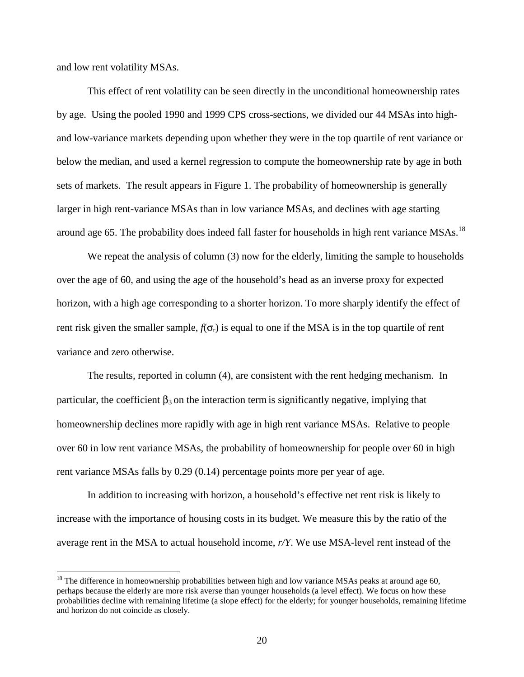and low rent volatility MSAs.

 $\overline{a}$ 

This effect of rent volatility can be seen directly in the unconditional homeownership rates by age. Using the pooled 1990 and 1999 CPS cross-sections, we divided our 44 MSAs into highand low-variance markets depending upon whether they were in the top quartile of rent variance or below the median, and used a kernel regression to compute the homeownership rate by age in both sets of markets. The result appears in Figure 1. The probability of homeownership is generally larger in high rent-variance MSAs than in low variance MSAs, and declines with age starting around age 65. The probability does indeed fall faster for households in high rent variance MSAs.<sup>18</sup>

We repeat the analysis of column (3) now for the elderly, limiting the sample to households over the age of 60, and using the age of the household's head as an inverse proxy for expected horizon, with a high age corresponding to a shorter horizon. To more sharply identify the effect of rent risk given the smaller sample,  $f(\sigma_r)$  is equal to one if the MSA is in the top quartile of rent variance and zero otherwise.

 The results, reported in column (4), are consistent with the rent hedging mechanism. In particular, the coefficient  $\beta_3$  on the interaction term is significantly negative, implying that homeownership declines more rapidly with age in high rent variance MSAs. Relative to people over 60 in low rent variance MSAs, the probability of homeownership for people over 60 in high rent variance MSAs falls by 0.29 (0.14) percentage points more per year of age.

In addition to increasing with horizon, a household's effective net rent risk is likely to increase with the importance of housing costs in its budget. We measure this by the ratio of the average rent in the MSA to actual household income, *r/Y*. We use MSA-level rent instead of the

<sup>&</sup>lt;sup>18</sup> The difference in homeownership probabilities between high and low variance MSAs peaks at around age 60, perhaps because the elderly are more risk averse than younger households (a level effect). We focus on how these probabilities decline with remaining lifetime (a slope effect) for the elderly; for younger households, remaining lifetime and horizon do not coincide as closely.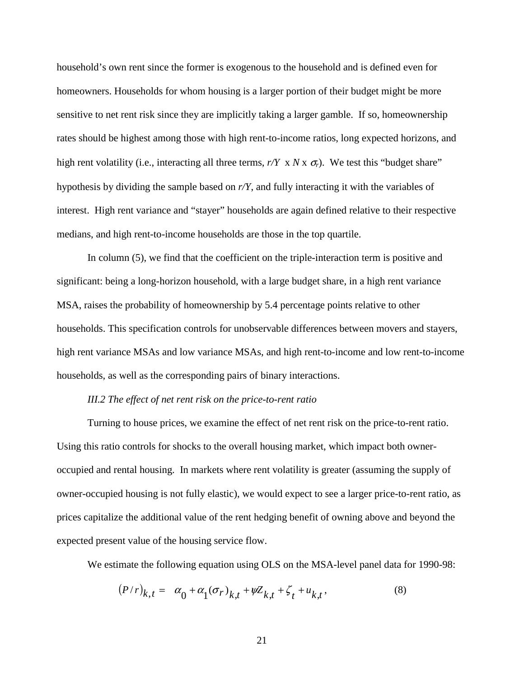household's own rent since the former is exogenous to the household and is defined even for homeowners. Households for whom housing is a larger portion of their budget might be more sensitive to net rent risk since they are implicitly taking a larger gamble. If so, homeownership rates should be highest among those with high rent-to-income ratios, long expected horizons, and high rent volatility (i.e., interacting all three terms,  $r/Y \times N \times \sigma_r$ ). We test this "budget share" hypothesis by dividing the sample based on *r/Y*, and fully interacting it with the variables of interest. High rent variance and "stayer" households are again defined relative to their respective medians, and high rent-to-income households are those in the top quartile.

 In column (5), we find that the coefficient on the triple-interaction term is positive and significant: being a long-horizon household, with a large budget share, in a high rent variance MSA, raises the probability of homeownership by 5.4 percentage points relative to other households. This specification controls for unobservable differences between movers and stayers, high rent variance MSAs and low variance MSAs, and high rent-to-income and low rent-to-income households, as well as the corresponding pairs of binary interactions.

#### *III.2 The effect of net rent risk on the price-to-rent ratio*

Turning to house prices, we examine the effect of net rent risk on the price-to-rent ratio. Using this ratio controls for shocks to the overall housing market, which impact both owneroccupied and rental housing. In markets where rent volatility is greater (assuming the supply of owner-occupied housing is not fully elastic), we would expect to see a larger price-to-rent ratio, as prices capitalize the additional value of the rent hedging benefit of owning above and beyond the expected present value of the housing service flow.

We estimate the following equation using OLS on the MSA-level panel data for 1990-98:

$$
(P/r)_{k,t} = \alpha_0 + \alpha_1 (\sigma_r)_{k,t} + \psi Z_{k,t} + \zeta_t + u_{k,t},
$$
\n(8)

$$
21\,
$$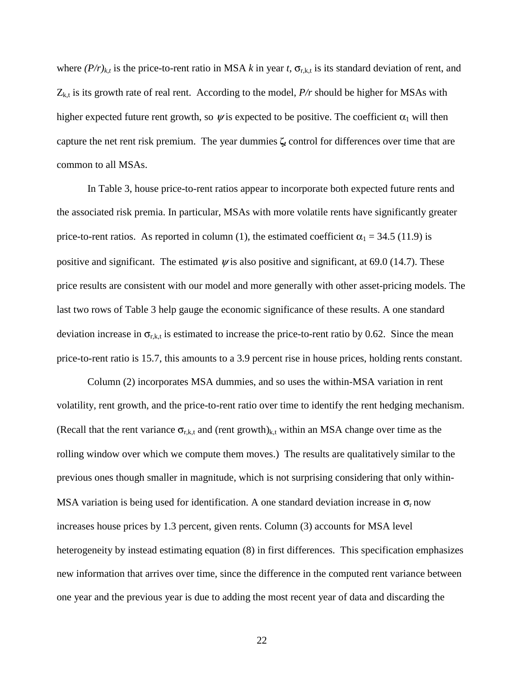where  $(P/r)_{k,t}$  is the price-to-rent ratio in MSA k in year t,  $\sigma_{r,k,t}$  is its standard deviation of rent, and  $Z_{k,t}$  is its growth rate of real rent. According to the model,  $P/r$  should be higher for MSAs with higher expected future rent growth, so  $\psi$  is expected to be positive. The coefficient  $\alpha_1$  will then capture the net rent risk premium. The year dummies **ζ***t* control for differences over time that are common to all MSAs.

In Table 3, house price-to-rent ratios appear to incorporate both expected future rents and the associated risk premia. In particular, MSAs with more volatile rents have significantly greater price-to-rent ratios. As reported in column (1), the estimated coefficient  $\alpha_1 = 34.5$  (11.9) is positive and significant. The estimated  $\psi$  is also positive and significant, at 69.0 (14.7). These price results are consistent with our model and more generally with other asset-pricing models. The last two rows of Table 3 help gauge the economic significance of these results. A one standard deviation increase in  $\sigma_{r,k,t}$  is estimated to increase the price-to-rent ratio by 0.62. Since the mean price-to-rent ratio is 15.7, this amounts to a 3.9 percent rise in house prices, holding rents constant.

 Column (2) incorporates MSA dummies, and so uses the within-MSA variation in rent volatility, rent growth, and the price-to-rent ratio over time to identify the rent hedging mechanism. (Recall that the rent variance  $\sigma_{r,k,t}$  and (rent growth)<sub>k,t</sub> within an MSA change over time as the rolling window over which we compute them moves.) The results are qualitatively similar to the previous ones though smaller in magnitude, which is not surprising considering that only within-MSA variation is being used for identification. A one standard deviation increase in  $\sigma_r$  now increases house prices by 1.3 percent, given rents. Column (3) accounts for MSA level heterogeneity by instead estimating equation (8) in first differences. This specification emphasizes new information that arrives over time, since the difference in the computed rent variance between one year and the previous year is due to adding the most recent year of data and discarding the

22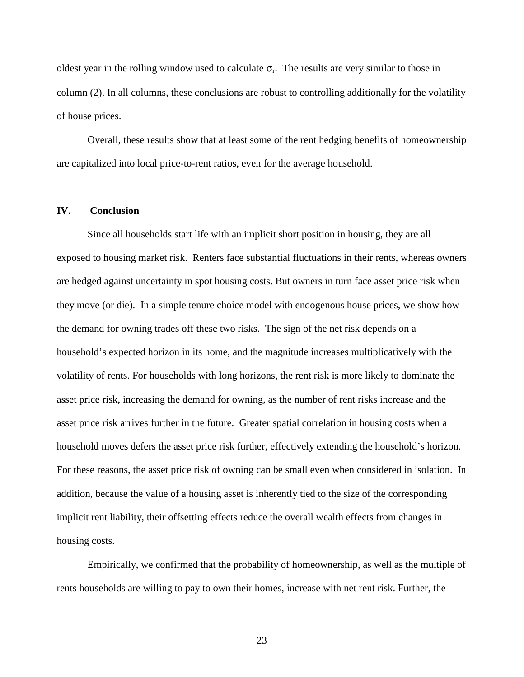oldest year in the rolling window used to calculate  $\sigma_r$ . The results are very similar to those in column (2). In all columns, these conclusions are robust to controlling additionally for the volatility of house prices.

 Overall, these results show that at least some of the rent hedging benefits of homeownership are capitalized into local price-to-rent ratios, even for the average household.

### **IV. Conclusion**

Since all households start life with an implicit short position in housing, they are all exposed to housing market risk. Renters face substantial fluctuations in their rents, whereas owners are hedged against uncertainty in spot housing costs. But owners in turn face asset price risk when they move (or die). In a simple tenure choice model with endogenous house prices, we show how the demand for owning trades off these two risks. The sign of the net risk depends on a household's expected horizon in its home, and the magnitude increases multiplicatively with the volatility of rents. For households with long horizons, the rent risk is more likely to dominate the asset price risk, increasing the demand for owning, as the number of rent risks increase and the asset price risk arrives further in the future. Greater spatial correlation in housing costs when a household moves defers the asset price risk further, effectively extending the household's horizon. For these reasons, the asset price risk of owning can be small even when considered in isolation. In addition, because the value of a housing asset is inherently tied to the size of the corresponding implicit rent liability, their offsetting effects reduce the overall wealth effects from changes in housing costs.

Empirically, we confirmed that the probability of homeownership, as well as the multiple of rents households are willing to pay to own their homes, increase with net rent risk. Further, the

23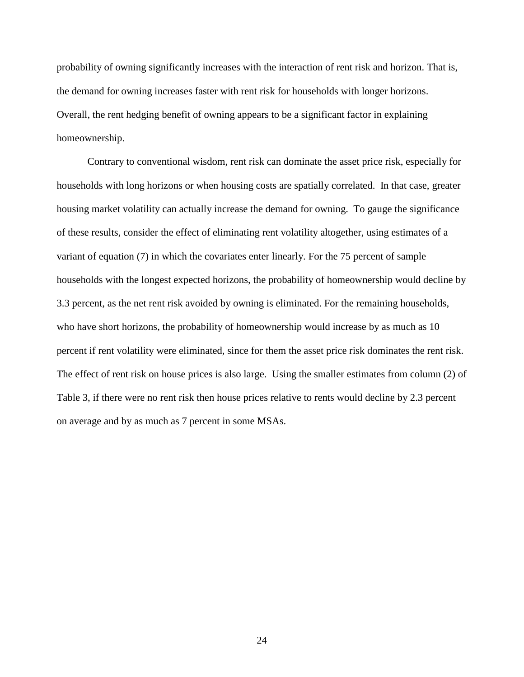probability of owning significantly increases with the interaction of rent risk and horizon. That is, the demand for owning increases faster with rent risk for households with longer horizons. Overall, the rent hedging benefit of owning appears to be a significant factor in explaining homeownership.

Contrary to conventional wisdom, rent risk can dominate the asset price risk, especially for households with long horizons or when housing costs are spatially correlated. In that case, greater housing market volatility can actually increase the demand for owning. To gauge the significance of these results, consider the effect of eliminating rent volatility altogether, using estimates of a variant of equation (7) in which the covariates enter linearly. For the 75 percent of sample households with the longest expected horizons, the probability of homeownership would decline by 3.3 percent, as the net rent risk avoided by owning is eliminated. For the remaining households, who have short horizons, the probability of homeownership would increase by as much as 10 percent if rent volatility were eliminated, since for them the asset price risk dominates the rent risk. The effect of rent risk on house prices is also large. Using the smaller estimates from column (2) of Table 3, if there were no rent risk then house prices relative to rents would decline by 2.3 percent on average and by as much as 7 percent in some MSAs.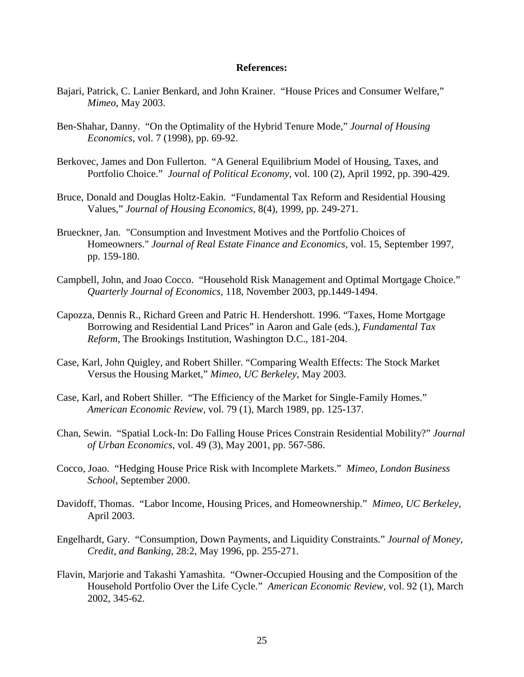#### **References:**

- Bajari, Patrick, C. Lanier Benkard, and John Krainer. "House Prices and Consumer Welfare," *Mimeo*, May 2003.
- Ben-Shahar, Danny. "On the Optimality of the Hybrid Tenure Mode," *Journal of Housing Economics*, vol. 7 (1998), pp. 69-92.
- Berkovec, James and Don Fullerton. "A General Equilibrium Model of Housing, Taxes, and Portfolio Choice." *Journal of Political Economy*, vol. 100 (2), April 1992, pp. 390-429.
- Bruce, Donald and Douglas Holtz-Eakin. "Fundamental Tax Reform and Residential Housing Values," *Journal of Housing Economics*, 8(4), 1999, pp. 249-271.
- Brueckner, Jan. "Consumption and Investment Motives and the Portfolio Choices of Homeowners." *Journal of Real Estate Finance and Economics*, vol. 15, September 1997, pp. 159-180.
- Campbell, John, and Joao Cocco. "Household Risk Management and Optimal Mortgage Choice." *Quarterly Journal of Economics,* 118, November 2003, pp.1449-1494.
- Capozza, Dennis R., Richard Green and Patric H. Hendershott. 1996. "Taxes, Home Mortgage Borrowing and Residential Land Prices" in Aaron and Gale (eds.), *Fundamental Tax Reform*, The Brookings Institution, Washington D.C., 181-204.
- Case, Karl, John Quigley, and Robert Shiller. "Comparing Wealth Effects: The Stock Market Versus the Housing Market," *Mimeo, UC Berkeley*, May 2003.
- Case, Karl, and Robert Shiller. "The Efficiency of the Market for Single-Family Homes." *American Economic Review*, vol. 79 (1), March 1989, pp. 125-137.
- Chan, Sewin. "Spatial Lock-In: Do Falling House Prices Constrain Residential Mobility?" *Journal of Urban Economics*, vol. 49 (3), May 2001, pp. 567-586.
- Cocco, Joao. "Hedging House Price Risk with Incomplete Markets." *Mimeo, London Business School*, September 2000.
- Davidoff, Thomas. "Labor Income, Housing Prices, and Homeownership." *Mimeo, UC Berkeley,* April 2003.
- Engelhardt, Gary. "Consumption, Down Payments, and Liquidity Constraints." *Journal of Money, Credit, and Banking*, 28:2, May 1996, pp. 255-271.
- Flavin, Marjorie and Takashi Yamashita. "Owner-Occupied Housing and the Composition of the Household Portfolio Over the Life Cycle." *American Economic Review,* vol. 92 (1), March 2002, 345-62.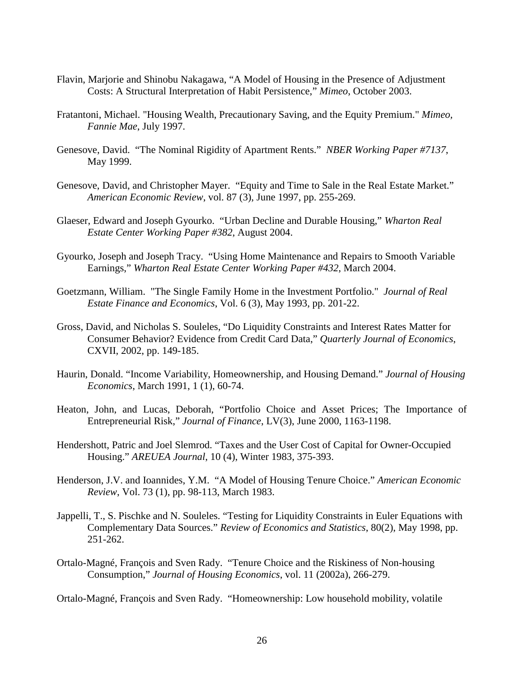- Flavin, Marjorie and Shinobu Nakagawa, "A Model of Housing in the Presence of Adjustment Costs: A Structural Interpretation of Habit Persistence," *Mimeo*, October 2003.
- Fratantoni, Michael. "Housing Wealth, Precautionary Saving, and the Equity Premium." *Mimeo, Fannie Mae*, July 1997.
- Genesove, David. "The Nominal Rigidity of Apartment Rents." *NBER Working Paper #7137*, May 1999.
- Genesove, David, and Christopher Mayer. "Equity and Time to Sale in the Real Estate Market." *American Economic Review*, vol. 87 (3), June 1997, pp. 255-269.
- Glaeser, Edward and Joseph Gyourko. "Urban Decline and Durable Housing," *Wharton Real Estate Center Working Paper #382*, August 2004.
- Gyourko, Joseph and Joseph Tracy. "Using Home Maintenance and Repairs to Smooth Variable Earnings," *Wharton Real Estate Center Working Paper #432*, March 2004.
- Goetzmann, William. "The Single Family Home in the Investment Portfolio." *Journal of Real Estate Finance and Economics*, Vol. 6 (3), May 1993, pp. 201-22.
- Gross, David, and Nicholas S. Souleles, "Do Liquidity Constraints and Interest Rates Matter for Consumer Behavior? Evidence from Credit Card Data," *Quarterly Journal of Economics*, CXVII, 2002, pp. 149-185.
- Haurin, Donald. "Income Variability, Homeownership, and Housing Demand." *Journal of Housing Economics*, March 1991, 1 (1), 60-74.
- Heaton, John, and Lucas, Deborah, "Portfolio Choice and Asset Prices; The Importance of Entrepreneurial Risk," *Journal of Finance*, LV(3), June 2000, 1163-1198.
- Hendershott, Patric and Joel Slemrod. "Taxes and the User Cost of Capital for Owner-Occupied Housing." *AREUEA Journal*, 10 (4), Winter 1983, 375-393.
- Henderson, J.V. and Ioannides, Y.M. "A Model of Housing Tenure Choice." *American Economic Review*, Vol. 73 (1), pp. 98-113, March 1983.
- Jappelli, T., S. Pischke and N. Souleles. "Testing for Liquidity Constraints in Euler Equations with Complementary Data Sources." *Review of Economics and Statistics*, 80(2), May 1998, pp. 251-262.
- Ortalo-Magné, François and Sven Rady. "Tenure Choice and the Riskiness of Non-housing Consumption," *Journal of Housing Economics*, vol. 11 (2002a), 266-279.

Ortalo-Magné, François and Sven Rady. "Homeownership: Low household mobility, volatile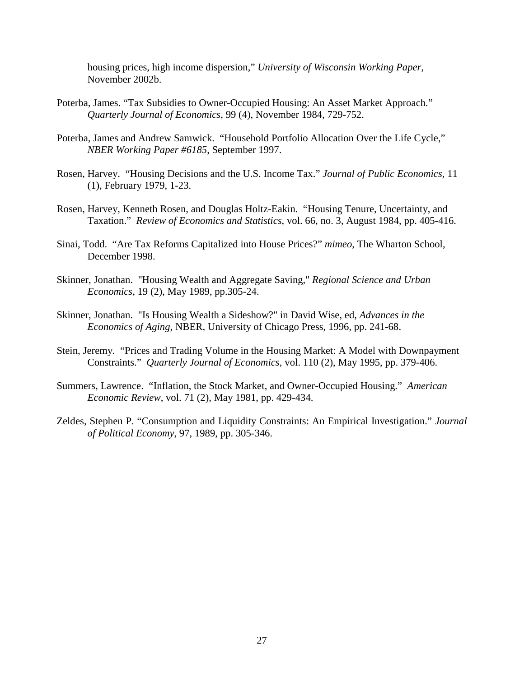housing prices, high income dispersion," *University of Wisconsin Working Paper*, November 2002b.

- Poterba, James. "Tax Subsidies to Owner-Occupied Housing: An Asset Market Approach." *Quarterly Journal of Economics*, 99 (4), November 1984, 729-752.
- Poterba, James and Andrew Samwick. "Household Portfolio Allocation Over the Life Cycle," *NBER Working Paper #6185*, September 1997.
- Rosen, Harvey. "Housing Decisions and the U.S. Income Tax." *Journal of Public Economics*, 11 (1), February 1979, 1-23.
- Rosen, Harvey, Kenneth Rosen, and Douglas Holtz-Eakin. "Housing Tenure, Uncertainty, and Taxation." *Review of Economics and Statistics*, vol. 66, no. 3, August 1984, pp. 405-416.
- Sinai, Todd. "Are Tax Reforms Capitalized into House Prices?" *mimeo*, The Wharton School, December 1998.
- Skinner, Jonathan. "Housing Wealth and Aggregate Saving," *Regional Science and Urban Economics*, 19 (2), May 1989, pp.305-24.
- Skinner, Jonathan. "Is Housing Wealth a Sideshow?" in David Wise, ed, *Advances in the Economics of Aging*, NBER, University of Chicago Press, 1996, pp. 241-68.
- Stein, Jeremy. "Prices and Trading Volume in the Housing Market: A Model with Downpayment Constraints." *Quarterly Journal of Economics*, vol. 110 (2), May 1995, pp. 379-406.
- Summers, Lawrence. "Inflation, the Stock Market, and Owner-Occupied Housing." *American Economic Review*, vol. 71 (2), May 1981, pp. 429-434.
- Zeldes, Stephen P. "Consumption and Liquidity Constraints: An Empirical Investigation." *Journal of Political Economy*, 97, 1989, pp. 305-346.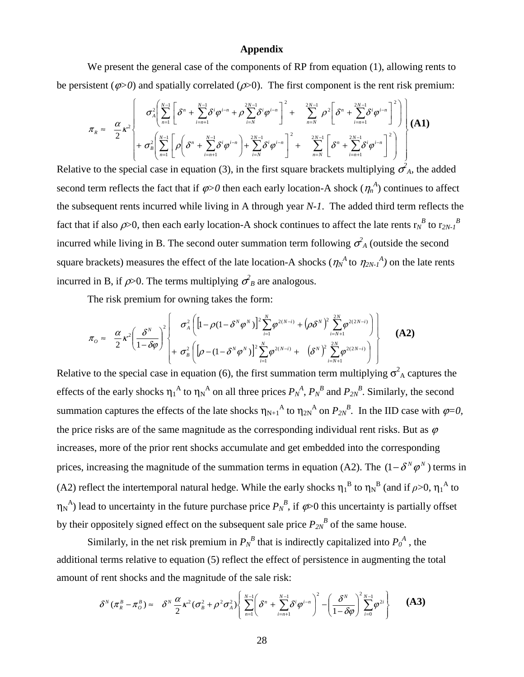#### **Appendix**

We present the general case of the components of RP from equation (1), allowing rents to be persistent ( $\varphi$ >0) and spatially correlated ( $\varphi$ >0). The first component is the rent risk premium:

$$
\pi_{R} \approx \frac{\alpha}{2} \kappa^{2} \left\{ \sigma_{A}^{2} \left( \sum_{n=1}^{N-1} \left[ \delta^{n} + \sum_{i=n+1}^{N-1} \delta^{i} \varphi^{i-n} + \rho \sum_{i=N}^{2N-1} \delta^{i} \varphi^{i-n} \right]^{2} + \sum_{n=N}^{2N-1} \rho^{2} \left[ \delta^{n} + \sum_{i=n+1}^{2N-1} \delta^{i} \varphi^{i-n} \right]^{2} \right] \right\} (A1)
$$
  
+  $\sigma_{B}^{2} \left( \sum_{n=1}^{N-1} \left[ \rho \left( \delta^{n} + \sum_{i=n+1}^{N-1} \delta^{i} \varphi^{i-n} \right) + \sum_{i=N}^{2N-1} \delta^{i} \varphi^{i-n} \right]^{2} + \sum_{n=N}^{2N-1} \left[ \delta^{n} + \sum_{i=n+1}^{2N-1} \delta^{i} \varphi^{i-n} \right]^{2} \right) \right\}$ 

Relative to the special case in equation (3), in the first square brackets multiplying  $\sigma_A^2$ , the added second term reflects the fact that if  $\varphi > 0$  then each early location-A shock  $(\eta_n^A)$  continues to affect the subsequent rents incurred while living in A through year *N-1*. The added third term reflects the fact that if also  $\rho$ >0, then each early location-A shock continues to affect the late rents  $r_N^B$  to  $r_{2N-1}^B$ incurred while living in B. The second outer summation term following  $\sigma_A^2$  (outside the second square brackets) measures the effect of the late location-A shocks  $(\eta_N^A$  to  $\eta_{2N}^A$  on the late rents incurred in B, if  $\rho$  > 0. The terms multiplying  $\sigma_B^2$  are analogous.

The risk premium for owning takes the form:

$$
\pi_o \approx \frac{\alpha}{2} \kappa^2 \left( \frac{\delta^N}{1 - \delta \varphi} \right)^2 \left\{ \sigma_A^2 \left( \left[ 1 - \rho (1 - \delta^N \varphi^N) \right]^2 \sum_{i=1}^N \varphi^{2(N-i)} + \left( \rho \delta^N \right)^2 \sum_{i=N+1}^{2N} \varphi^{2(2N-i)} \right) \right\}
$$
(A2)

Relative to the special case in equation (6), the first summation term multiplying  $\sigma_A^2$  captures the effects of the early shocks  $\eta_1^A$  to  $\eta_N^A$  on all three prices  $P_N^A$ ,  $P_N^B$  and  $P_{2N}^B$ . Similarly, the second summation captures the effects of the late shocks  $\eta_{N+1}^A$  to  $\eta_{2N}^A$  on  $P_{2N}^B$ . In the IID case with  $\varphi=0$ , the price risks are of the same magnitude as the corresponding individual rent risks. But as  $\varphi$ increases, more of the prior rent shocks accumulate and get embedded into the corresponding prices, increasing the magnitude of the summation terms in equation (A2). The  $(1 - \delta^N \varphi^N)$  terms in (A2) reflect the intertemporal natural hedge. While the early shocks  $\eta_1^B$  to  $\eta_N^B$  (and if  $\rho$ >0,  $\eta_1^A$  to  $\eta_N^A$ ) lead to uncertainty in the future purchase price  $P_N^B$ , if  $\varphi$  this uncertainty is partially offset by their oppositely signed effect on the subsequent sale price  $P_{2N}^{\ B}$  of the same house.

Similarly, in the net risk premium in  $P_N^B$  that is indirectly capitalized into  $P_0^A$ , the additional terms relative to equation (5) reflect the effect of persistence in augmenting the total amount of rent shocks and the magnitude of the sale risk:

$$
\delta^N(\pi_R^B - \pi_O^B) \approx \delta^N \frac{\alpha}{2} \kappa^2 (\sigma_B^2 + \rho^2 \sigma_A^2) \left\{ \sum_{n=1}^{N-1} \left( \delta^n + \sum_{i=n+1}^{N-1} \delta^i \varphi^{i-n} \right)^2 - \left( \frac{\delta^N}{1 - \delta \varphi} \right)^2 \sum_{i=0}^{N-1} \varphi^{2i} \right\}
$$
 (A3)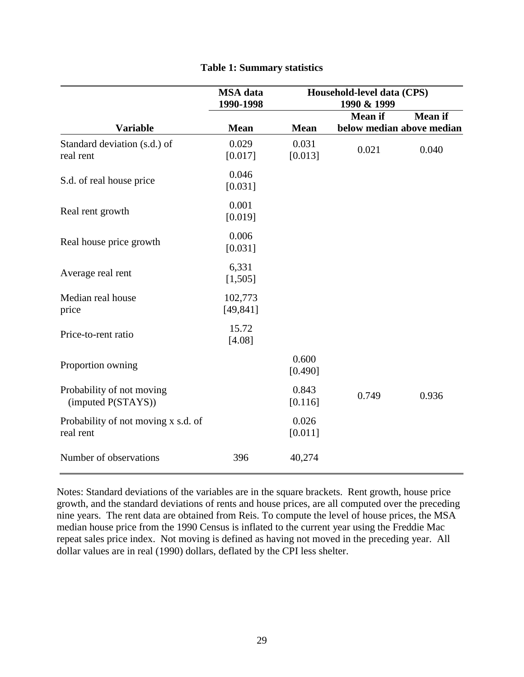|                                                  | <b>MSA</b> data<br>1990-1998 | Household-level data (CPS)<br>1990 & 1999 |                |                                             |
|--------------------------------------------------|------------------------------|-------------------------------------------|----------------|---------------------------------------------|
| <b>Variable</b>                                  | <b>Mean</b>                  | <b>Mean</b>                               | <b>Mean</b> if | <b>Mean</b> if<br>below median above median |
| Standard deviation (s.d.) of<br>real rent        | 0.029<br>[0.017]             | 0.031<br>[0.013]                          | 0.021          | 0.040                                       |
| S.d. of real house price                         | 0.046<br>[0.031]             |                                           |                |                                             |
| Real rent growth                                 | 0.001<br>[0.019]             |                                           |                |                                             |
| Real house price growth                          | 0.006<br>[0.031]             |                                           |                |                                             |
| Average real rent                                | 6,331<br>[1,505]             |                                           |                |                                             |
| Median real house<br>price                       | 102,773<br>[49, 841]         |                                           |                |                                             |
| Price-to-rent ratio                              | 15.72<br>[4.08]              |                                           |                |                                             |
| Proportion owning                                |                              | 0.600<br>[0.490]                          |                |                                             |
| Probability of not moving<br>(imputed P(STAYS))  |                              | 0.843<br>[0.116]                          | 0.749          | 0.936                                       |
| Probability of not moving x s.d. of<br>real rent |                              | 0.026<br>[0.011]                          |                |                                             |
| Number of observations                           | 396                          | 40,274                                    |                |                                             |

## **Table 1: Summary statistics**

Notes: Standard deviations of the variables are in the square brackets. Rent growth, house price growth, and the standard deviations of rents and house prices, are all computed over the preceding nine years. The rent data are obtained from Reis. To compute the level of house prices, the MSA median house price from the 1990 Census is inflated to the current year using the Freddie Mac repeat sales price index. Not moving is defined as having not moved in the preceding year. All dollar values are in real (1990) dollars, deflated by the CPI less shelter.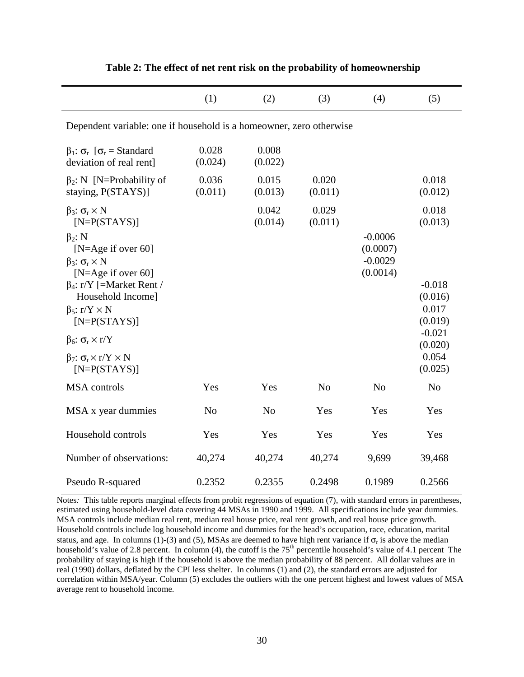|                                                                                                                                                                              | (1)              | (2)              | (3)              | (4)                               | (5)                                     |  |  |  |
|------------------------------------------------------------------------------------------------------------------------------------------------------------------------------|------------------|------------------|------------------|-----------------------------------|-----------------------------------------|--|--|--|
| Dependent variable: one if household is a homeowner, zero otherwise                                                                                                          |                  |                  |                  |                                   |                                         |  |  |  |
| $\beta_1$ : $\sigma_r$ [ $\sigma_r$ = Standard<br>deviation of real rent]                                                                                                    | 0.028<br>(0.024) | 0.008<br>(0.022) |                  |                                   |                                         |  |  |  |
| $\beta_2$ : N [N=Probability of<br>staying, P(STAYS)]                                                                                                                        | 0.036<br>(0.011) | 0.015<br>(0.013) | 0.020<br>(0.011) |                                   | 0.018<br>(0.012)                        |  |  |  |
| $β_3$ : σ <sub>r</sub> × N<br>$[N=P(STAYS)]$<br>$\beta_2$ : N                                                                                                                |                  | 0.042<br>(0.014) | 0.029<br>(0.011) | $-0.0006$                         | 0.018<br>(0.013)                        |  |  |  |
| [N=Age if over 60]<br>$\beta_3$ : $\sigma_r \times N$<br>[N=Age if over 60]<br>$\beta_4$ : r/Y [=Market Rent /<br>Household Income]<br>$\beta_5$ : r/Y × N<br>$[N=P(STAYS)]$ |                  |                  |                  | (0.0007)<br>$-0.0029$<br>(0.0014) | $-0.018$<br>(0.016)<br>0.017<br>(0.019) |  |  |  |
| $β_6$ : σ <sub>r</sub> × r/Y                                                                                                                                                 |                  |                  |                  |                                   | $-0.021$<br>(0.020)                     |  |  |  |
| $β_7$ : σ <sub>r</sub> × r/Y × N<br>$[N=P(STAYS)]$                                                                                                                           |                  |                  |                  |                                   | 0.054<br>(0.025)                        |  |  |  |
| <b>MSA</b> controls                                                                                                                                                          | Yes              | Yes              | N <sub>0</sub>   | N <sub>o</sub>                    | N <sub>o</sub>                          |  |  |  |
| MSA x year dummies                                                                                                                                                           | N <sub>o</sub>   | N <sub>o</sub>   | Yes              | Yes                               | Yes                                     |  |  |  |
| Household controls                                                                                                                                                           | Yes              | Yes              | Yes              | Yes                               | Yes                                     |  |  |  |
| Number of observations:                                                                                                                                                      | 40,274           | 40,274           | 40,274           | 9,699                             | 39,468                                  |  |  |  |
| Pseudo R-squared                                                                                                                                                             | 0.2352           | 0.2355           | 0.2498           | 0.1989                            | 0.2566                                  |  |  |  |

| Table 2: The effect of net rent risk on the probability of homeownership |
|--------------------------------------------------------------------------|
|--------------------------------------------------------------------------|

Notes*:* This table reports marginal effects from probit regressions of equation (7), with standard errors in parentheses, estimated using household-level data covering 44 MSAs in 1990 and 1999. All specifications include year dummies. MSA controls include median real rent, median real house price, real rent growth, and real house price growth. Household controls include log household income and dummies for the head's occupation, race, education, marital status, and age. In columns (1)-(3) and (5), MSAs are deemed to have high rent variance if  $\sigma_r$  is above the median household's value of 2.8 percent. In column (4), the cutoff is the  $75<sup>th</sup>$  percentile household's value of 4.1 percent The probability of staying is high if the household is above the median probability of 88 percent. All dollar values are in real (1990) dollars, deflated by the CPI less shelter. In columns (1) and (2), the standard errors are adjusted for correlation within MSA/year. Column (5) excludes the outliers with the one percent highest and lowest values of MSA average rent to household income.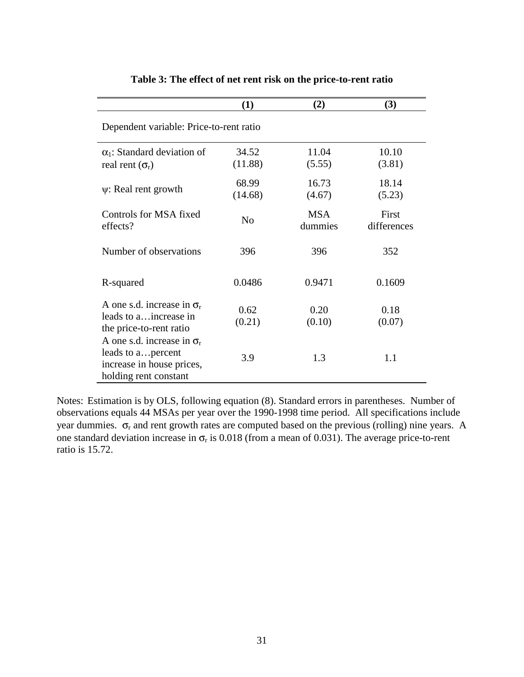|                                                                                                               | (1)              | (2)                   | (3)                  |  |  |  |  |
|---------------------------------------------------------------------------------------------------------------|------------------|-----------------------|----------------------|--|--|--|--|
| Dependent variable: Price-to-rent ratio                                                                       |                  |                       |                      |  |  |  |  |
| $\alpha_1$ : Standard deviation of<br>real rent $(\sigma_r)$                                                  | 34.52<br>(11.88) | 11.04<br>(5.55)       | 10.10<br>(3.81)      |  |  |  |  |
| $\psi$ : Real rent growth                                                                                     | 68.99<br>(14.68) | 16.73<br>(4.67)       | 18.14<br>(5.23)      |  |  |  |  |
| Controls for MSA fixed<br>effects?                                                                            | N <sub>o</sub>   | <b>MSA</b><br>dummies | First<br>differences |  |  |  |  |
| Number of observations                                                                                        | 396              | 396                   | 352                  |  |  |  |  |
| R-squared                                                                                                     | 0.0486           | 0.9471                | 0.1609               |  |  |  |  |
| A one s.d. increase in $\sigma_r$<br>leads to a increase in<br>the price-to-rent ratio                        | 0.62<br>(0.21)   | 0.20<br>(0.10)        | 0.18<br>(0.07)       |  |  |  |  |
| A one s.d. increase in $\sigma_r$<br>leads to a percent<br>increase in house prices,<br>holding rent constant | 3.9              | 1.3                   | 1.1                  |  |  |  |  |

# **Table 3: The effect of net rent risk on the price-to-rent ratio**

Notes: Estimation is by OLS, following equation (8). Standard errors in parentheses. Number of observations equals 44 MSAs per year over the 1990-1998 time period. All specifications include year dummies.  $\sigma_r$  and rent growth rates are computed based on the previous (rolling) nine years. A one standard deviation increase in  $\sigma_r$  is 0.018 (from a mean of 0.031). The average price-to-rent ratio is 15.72.